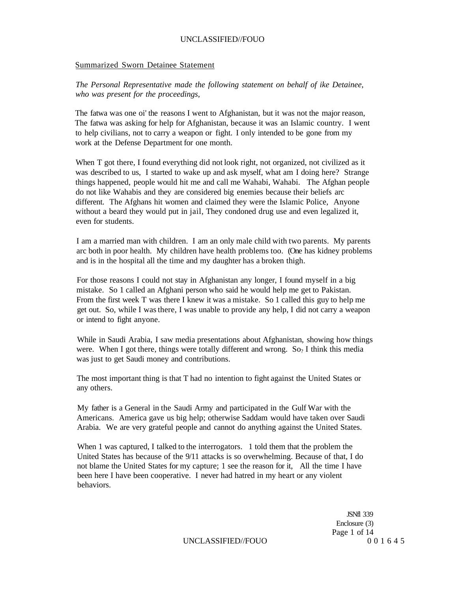### Summarized Sworn Detainee Statement

*The Personal Representative made the following statement on behalf of ike Detainee, who was present for the proceedings,* 

The fatwa was one oi' the reasons I went to Afghanistan, but it was not the major reason, The fatwa was asking for help for Afghanistan, because it was an Islamic country. I went to help civilians, not to carry a weapon or fight. I only intended to be gone from my work at the Defense Department for one month.

When T got there, I found everything did not look right, not organized, not civilized as it was described to us, I started to wake up and ask myself, what am I doing here? Strange things happened, people would hit me and call me Wahabi, Wahabi. The Afghan people do not like Wahabis and they are considered big enemies because their beliefs arc different. The Afghans hit women and claimed they were the Islamic Police, Anyone without a beard they would put in jail*,* They condoned drug use and even legalized it, even for students.

I am a married man with children. I am an only male child with two parents. My parents arc both in poor health. My children have health problems too. (One has kidney problems and is in the hospital all the time and my daughter has a broken thigh.

For those reasons I could not stay in Afghanistan any longer, I found myself in a big mistake. So 1 called an Afghani person who said he would help me get to Pakistan. From the first week T was there I knew it was a mistake. So 1 called this guy to help me get out. So, while I was there, I was unable to provide any help, I did not carry a weapon or intend to fight anyone.

While in Saudi Arabia, I saw media presentations about Afghanistan, showing how things were. When I got there, things were totally different and wrong.  $\text{So}_2$  I think this media was just to get Saudi money and contributions.

The most important thing is that T had no intention to fight against the United States or any others.

My father is a General in the Saudi Army and participated in the Gulf War with the Americans. America gave us big help; otherwise Saddam would have taken over Saudi Arabia. We are very grateful people and cannot do anything against the United States.

When 1 was captured, I talked to the interrogators. 1 told them that the problem the United States has because of the 9/11 attacks is so overwhelming. Because of that, I do not blame the United States for my capture; 1 see the reason for it, All the time I have been here I have been cooperative. I never had hatred in my heart or any violent behaviors.

> JSNfl 339 Enclosure (3) Page 1 of 14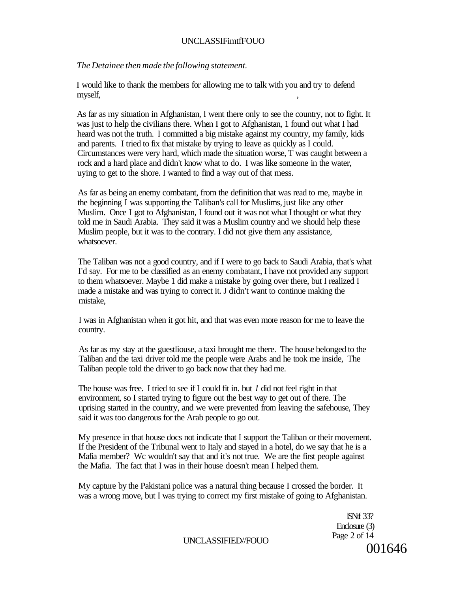# UNCLASSIFimtfFOUO

# *The Detainee then made the following statement.*

I would like to thank the members for allowing me to talk with you and try to defend myself,  $\,$ ,  $\,$ ,  $\,$ ,  $\,$ ,  $\,$ ,  $\,$ ,  $\,$ ,  $\,$ ,  $\,$ ,  $\,$ ,  $\,$ ,  $\,$ ,  $\,$ ,  $\,$ ,  $\,$ ,  $\,$ ,  $\,$ ,  $\,$ ,  $\,$ ,  $\,$ ,  $\,$ ,  $\,$ ,  $\,$ ,  $\,$ ,  $\,$ ,  $\,$ ,  $\,$ ,  $\,$ ,  $\,$ ,  $\,$ ,  $\,$ ,  $\,$ ,  $\,$ ,  $\,$ ,  $\,$ ,  $\,$ 

As far as my situation in Afghanistan, I went there only to see the country, not to fight. It was just to help the civilians there. When I got to Afghanistan, 1 found out what I had heard was not the truth. I committed a big mistake against my country, my family, kids and parents. I tried to fix that mistake by trying to leave as quickly as I could. Circumstances were very hard, which made the situation worse, T was caught between a rock and a hard place and didn't know what to do. I was like someone in the water, uying to get to the shore. I wanted to find a way out of that mess.

As far as being an enemy combatant, from the definition that was read to me, maybe in the beginning I was supporting the Taliban's call for Muslims, just like any other Muslim. Once I got to Afghanistan, I found out it was not what I thought or what they told me in Saudi Arabia. They said it was a Muslim country and we should help these Muslim people, but it was to the contrary. I did not give them any assistance, whatsoever.

The Taliban was not a good country, and if I were to go back to Saudi Arabia, that's what I'd say. For me to be classified as an enemy combatant, I have not provided any support to them whatsoever. Maybe 1 did make a mistake by going over there, but I realized I made a mistake and was trying to correct it. J didn't want to continue making the mistake,

I was in Afghanistan when it got hit, and that was even more reason for me to leave the country.

As far as my stay at the guestliouse, a taxi brought me there. The house belonged to the Taliban and the taxi driver told me the people were Arabs and he took me inside, The Taliban people told the driver to go back now that they had me.

The house was free. I tried to see if I could fit in. but *1* did not feel right in that environment, so I started trying to figure out the best way to get out of there. The uprising started in the country, and we were prevented from leaving the safehouse, They said it was too dangerous for the Arab people to go out.

My presence in that house docs not indicate that I support the Taliban or their movement. If the President of the Tribunal went to Italy and stayed in a hotel, do we say that he is a Mafia member? Wc wouldn't say that and it's not true. We are the first people against the Mafia. The fact that I was in their house doesn't mean I helped them.

My capture by the Pakistani police was a natural thing because I crossed the border. It was a wrong move, but I was trying to correct my first mistake of going to Afghanistan.

> lSNtf 33? Enclosure (3) Page 2 of 14 001646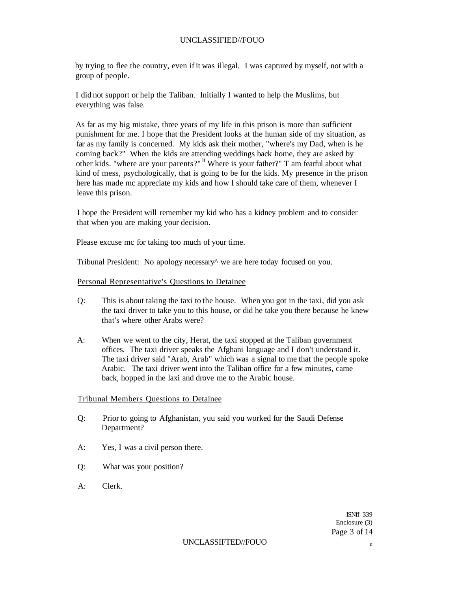by trying to flee the country, even if it was illegal. I was captured by myself, not with a group of people.

I did not support or help the Taliban. Initially I wanted to help the Muslims, but everything was false.

As far as my big mistake, three years of my life in this prison is more than sufficient punishment for me. I hope that the President looks at the human side of my situation, as far as my family is concerned. My kids ask their mother, "where's my Dad, when is he coming back?" When the kids are attending weddings back home, they are asked by other kids. "where are your parents?" <sup>Il</sup> Where is your father?" T am fearful about what kind of mess, psychologically, that is going to be for the kids. My presence in the prison here has made mc appreciate my kids and how I should take care of them, whenever I leave this prison.

I hope the President will remember my kid who has a kidney problem and to consider that when you are making your decision.

Please excuse mc for taking too much of your time.

Tribunal President: No apology necessary^ we are here today focused on you.

### Personal Representative's Questions to Detainee

- Q: This is about taking the taxi to the house. When you got in the taxi, did you ask the taxi driver to take you to this house, or did he take you there because he knew that's where other Arabs were?
- A: When we went to the city, Herat, the taxi stopped at the Taliban government offices. The taxi driver speaks the Afghani language and I don't understand it. The taxi driver said "Arab, Arab" which was a signal to me that the people spoke Arabic. The taxi driver went into the Taliban office for a few minutes, came back, hopped in the laxi and drove me to the Arabic house.

### Tribunal Members Questions to Detainee

- Q: Prior to going to Afghanistan, yuu said you worked for the Saudi Defense Department?
- A: Yes, I was a civil person there.
- Q: What was your position?
- A: Clerk.

ISNff 339 Enclosure (3) Page 3 of 14

#### UNCLASSIFTED//FOUO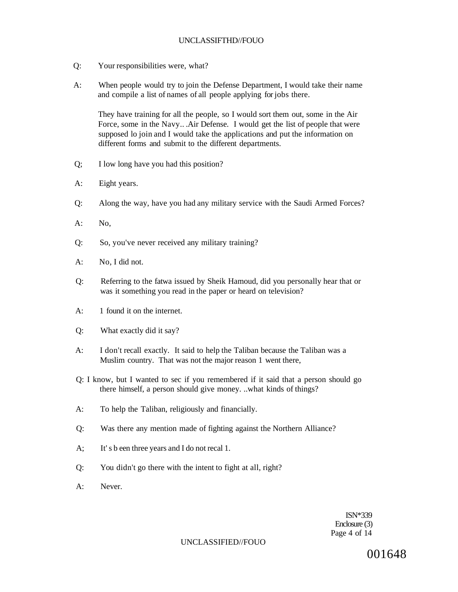## UNCLASSIFTHD//FOUO

- Q: Your responsibilities were, what?
- A: When people would try to join the Defense Department, I would take their name and compile a list of names of all people applying for jobs there.

They have training for all the people, so I would sort them out, some in the Air Force, some in the Navy.. .Air Defense. I would get the list of people that were supposed lo join and I would take the applications and put the information on different forms and submit to the different departments.

- Q; I low long have you had this position?
- A: Eight years.
- Q: Along the way, have you had any military service with the Saudi Armed Forces?
- $A:$  No.
- Q: So, you've never received any military training?
- A: No, I did not.
- Q: Referring to the fatwa issued by Sheik Hamoud, did you personally hear that or was it something you read in the paper or heard on television?
- A: 1 found it on the internet.
- Q: What exactly did it say?
- A: I don't recall exactly. It said to help the Taliban because the Taliban was a Muslim country. That was not the major reason 1 went there,
- Q: I know, but I wanted to sec if you remembered if it said that a person should go there himself, a person should give money. ..what kinds of things?
- A: To help the Taliban, religiously and financially.
- Q: Was there any mention made of fighting against the Northern Alliance?
- A; It's b een three years and I do not recal 1.
- Q: You didn't go there with the intent to fight at all, right?
- A: Never.

ISN\*339 Enclosure (3) Page 4 of 14

### UNCLASSIFIED//FOUO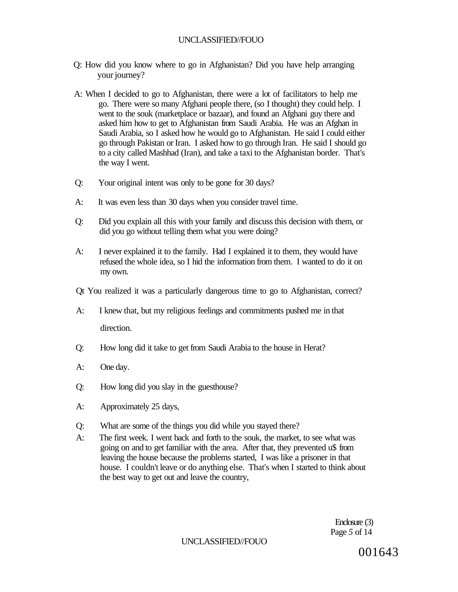- Q: How did you know where to go in Afghanistan? Did you have help arranging your journey?
- A: When I decided to go to Afghanistan, there were a lot of facilitators to help me go. There were so many Afghani people there, (so I thought) they could help. I went to the souk (marketplace or bazaar), and found an Afghani guy there and asked him how to get to Afghanistan from Saudi Arabia. He was an Afghan in Saudi Arabia, so I asked how he would go to Afghanistan. He said I could either go through Pakistan or Iran. I asked how to go through Iran. He said I should go to a city called Mashhad (Iran), and take a taxi to the Afghanistan border. That's the way I went.
- Q: Your original intent was only to be gone for 30 days?
- A: It was even less than 30 days when you consider travel time.
- Q: Did you explain all this with your family and discuss this decision with them, or did you go without telling them what you were doing?
- A: I never explained it to the family. Had I explained it to them, they would have refused the whole idea, so I hid the information from them. I wanted to do it on my own.
- Qt You realized it was a particularly dangerous time to go to Afghanistan, correct?
- A: I knew that, but my religious feelings and commitments pushed me in that direction.
- Q: How long did it take to get from Saudi Arabia to the house in Herat?
- A: One day.
- Q: How long did you slay in the guesthouse?
- A: Approximately 25 days,
- Q: What are some of the things you did while you stayed there?
- A: The first week. I went back and forth to the souk, the market, to see what was going on and to get familiar with the area. After that, they prevented u\$ from leaving the house because the problems started, I was like a prisoner in that house. I couldn't leave or do anything else. That's when I started to think about the best way to get out and leave the country,

Enclosure (3) Page *5* of 14

## UNCLASSIFIED//FOUO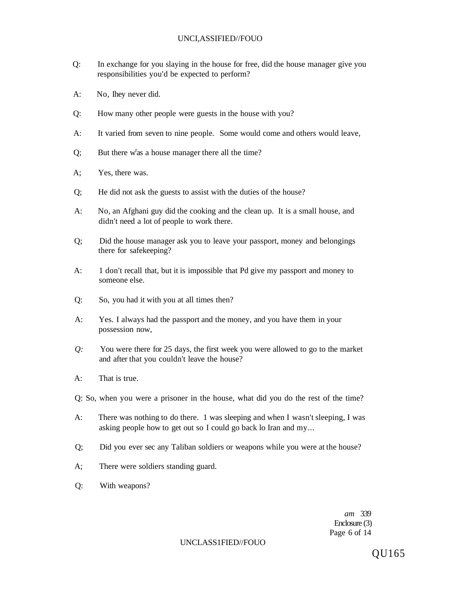- Q: In exchange for you slaying in the house for free, did the house manager give you responsibilities you'd be expected to perform?
- A: No, Ihey never did.
- Q: How many other people were guests in the house with you?
- A: It varied from seven to nine people. Some would come and others would leave,
- $Q$ ; But there w<sup>r</sup>as a house manager there all the time?
- A; Yes, there was.
- Q; He did not ask the guests to assist with the duties of the house?
- A: No, an Afghani guy did the cooking and the clean up. It is a small house, and didn't need a lot of people to work there.
- Q; Did the house manager ask you to leave your passport, money and belongings there for safekeeping?
- A: 1 don't recall that, but it is impossible that Pd give my passport and money to someone else.
- Q: So, you had it with you at all times then?
- A: Yes. I always had the passport and the money, and you have them in your possession now,
- *Q:* You were there for 25 days, the first week you were allowed to go to the market and after that you couldn't leave the house?
- A: That is true.
- Q: So, when you were a prisoner in the house, what did you do the rest of the time?
- A: There was nothing to do there. 1 was sleeping and when I wasn't sleeping, I was asking people how to get out so I could go back lo Iran and my...
- Q; Did you ever sec any Taliban soldiers or weapons while you were at the house?
- A; There were soldiers standing guard.
- Q: With weapons?

*am* 339 Enclosure (3) Page 6 of 14

### UNCLASS1FIED//FOUO

QU165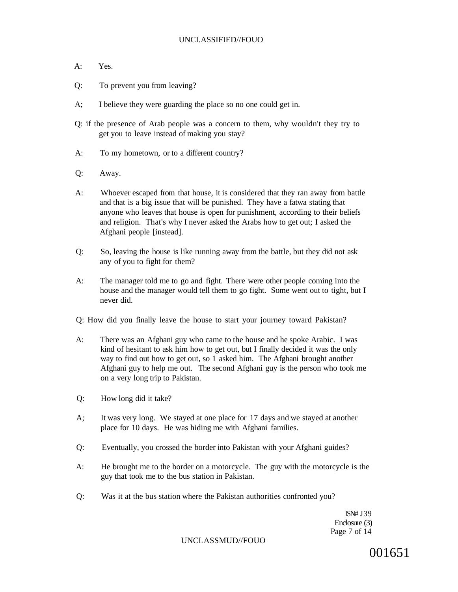- A: Yes.
- Q: To prevent you from leaving?
- A; I believe they were guarding the place so no one could get in.
- Q: if the presence of Arab people was a concern to them, why wouldn't they try to get you to leave instead of making you stay?
- A: To my hometown, or to a different country?
- Q: Away.
- A: Whoever escaped from that house, it is considered that they ran away from battle and that is a big issue that will be punished. They have a fatwa stating that anyone who leaves that house is open for punishment, according to their beliefs and religion. That's why I never asked the Arabs how to get out; I asked the Afghani people [instead].
- Q: So, leaving the house is like running away from the battle, but they did not ask any of you to fight for them?
- A: The manager told me to go and fight. There were other people coming into the house and the manager would tell them to go fight. Some went out to tight, but I never did.

Q: How did you finally leave the house to start your journey toward Pakistan?

- A: There was an Afghani guy who came to the house and he spoke Arabic. I was kind of hesitant to ask him how to get out, but I finally decided it was the only way to find out how to get out, so 1 asked him. The Afghani brought another Afghani guy to help me out. The second Afghani guy is the person who took me on a very long trip to Pakistan.
- Q: How long did it take?
- A; It was very long. We stayed at one place for 17 days and we stayed at another place for 10 days. He was hiding me with Afghani families.
- Q: Eventually, you crossed the border into Pakistan with your Afghani guides?
- A: He brought me to the border on a motorcycle. The guy with the motorcycle is the guy that took me to the bus station in Pakistan.
- Q: Was it at the bus station where the Pakistan authorities confronted you?

ISN# J39 Enclosure (3) Page 7 of 14

### UNCLASSMUD//FOUO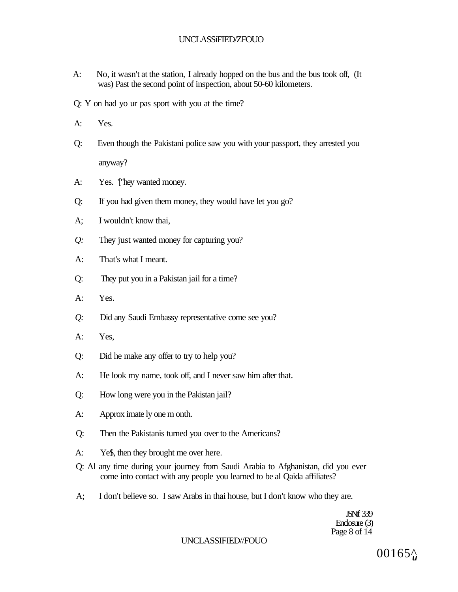# UNCLASSiFIED/ZFOUO

- A: No, it wasn't at the station, I already hopped on the bus and the bus took off, (It was) Past the second point of inspection, about 50-60 kilometers.
- Q: Y on had yo ur pas sport with you at the time?
- A: Yes.
- Q: Even though the Pakistani police saw you with your passport, they arrested you anyway?
- A: Yes. ['hey wanted money.
- Q: If you had given them money, they would have let you go?
- A; I wouldn't know thai,
- *Q:* They just wanted money for capturing you?
- A: That's what I meant.
- Q: They put you in a Pakistan jail for a time?
- A: Yes.
- *Q:* Did any Saudi Embassy representative come see you?
- A: Yes,
- Q: Did he make any offer to try to help you?
- A: He look my name, took off, and I never saw him after that.
- Q: How long were you in the Pakistan jail?
- A: Approx imate ly one m onth.
- Q: Then the Pakistanis turned you over to the Americans?
- A: Ye\$, then they brought me over here.
- Q: Al any time during your journey from Saudi Arabia to Afghanistan, did you ever come into contact with any people you learned to be al Qaida affiliates?
- A; I don't believe so. I saw Arabs in thai house, but I don't know who they are.

**JSNf** 339 Enclosure (3) Page 8 of 14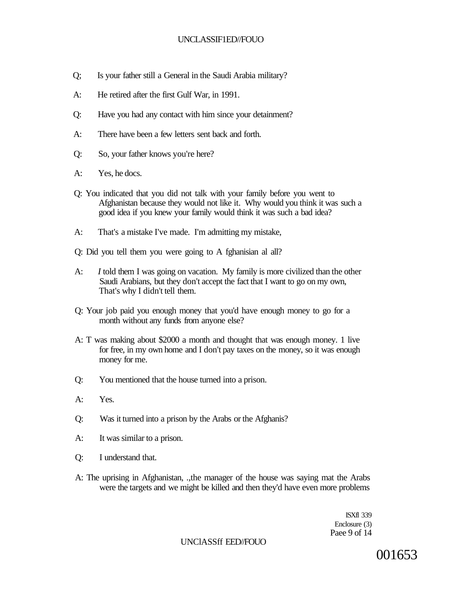- Q; Is your father still a General in the Saudi Arabia military?
- A: He retired after the first Gulf War, in 1991.
- Q: Have you had any contact with him since your detainment?
- A: There have been a few letters sent back and forth.
- Q: So, your father knows you're here?
- A: Yes, he docs.
- Q: You indicated that you did not talk with your family before you went to Afghanistan because they would not like it. Why would you think it was such a good idea if you knew your family would think it was such a bad idea?
- A: That's a mistake I've made. I'm admitting my mistake,
- Q: Did you tell them you were going to A fghanisian al all?
- A: *I* told them I was going on vacation. My family is more civilized than the other Saudi Arabians, but they don't accept the fact that I want to go on my own, That's why I didn't tell them.
- Q: Your job paid you enough money that you'd have enough money to go for a month without any funds from anyone else?
- A: T was making about \$2000 a month and thought that was enough money. 1 live for free, in my own home and I don't pay taxes on the money, so it was enough money for me.
- Q: You mentioned that the house turned into a prison.
- A: Yes.
- Q: Was it turned into a prison by the Arabs or the Afghanis?
- A: It was similar to a prison.
- Q: I understand that.
- A: The uprising in Afghanistan, .,the manager of the house was saying mat the Arabs were the targets and we might be killed and then they'd have even more problems

ISXfl 339 Enclosure (3) Paee 9 of 14

UNClASSff EED//FOUO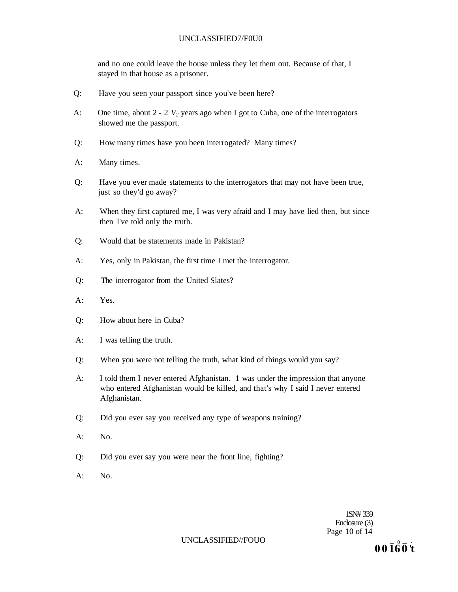## UNCLASSIFIED7/F0U0

and no one could leave the house unless they let them out. Because of that, I stayed in that house as a prisoner.

- Q: Have you seen your passport since you've been here?
- A: One time, about 2 2 *V2* years ago when I got to Cuba, one of the interrogators showed me the passport.
- Q: How many times have you been interrogated? Many times?
- A: Many times.
- Q: Have you ever made statements to the interrogators that may not have been true, just so they'd go away?
- A: When they first captured me, I was very afraid and I may have lied then, but since then Tve told only the truth.
- Q: Would that be statements made in Pakistan?
- A: Yes, only in Pakistan, the first time I met the interrogator.
- Q: The interrogator from the United Slates?
- A: Yes.
- Q: How about here in Cuba?
- A: I was telling the truth.
- Q: When you were not telling the truth, what kind of things would you say?
- A: I told them I never entered Afghanistan. 1 was under the impression that anyone who entered Afghanistan would be killed, and that's why I said I never entered Afghanistan.
- Q: Did you ever say you received any type of weapons training?
- A: No.
- Q: Did you ever say you were near the front line, fighting?
- A: No.

1SN# 339 Enclosure (3) Page 10 of 14

#### UNCLASSIFIED//FOUO

**0 0 16 0 't**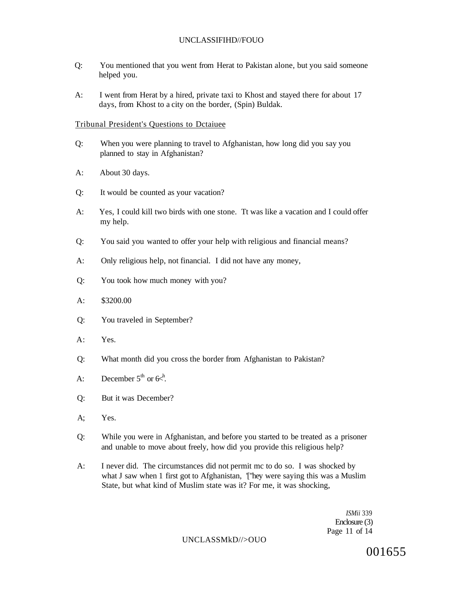- Q: You mentioned that you went from Herat to Pakistan alone, but you said someone helped you.
- A: I went from Herat by a hired, private taxi to Khost and stayed there for about 17 days, from Khost to a city on the border, (Spin) Buldak.

# Tribunal President's Questions to Dctaiuee

- Q: When you were planning to travel to Afghanistan, how long did you say you planned to stay in Afghanistan?
- A: About 30 days.
- Q: It would be counted as your vacation?
- A: Yes, I could kill two birds with one stone. Tt was like a vacation and I could offer my help.
- Q: You said you wanted to offer your help with religious and financial means?
- A: Only religious help, not financial. I did not have any money,
- Q: You took how much money with you?
- A: \$3200.00
- Q: You traveled in September?
- A: Yes.
- Q: What month did you cross the border from Afghanistan to Pakistan?
- A: December  $5^{\text{th}}$  or  $6x^{\text{h}}$ .
- Q: But it was December?
- A; Yes.
- Q: While you were in Afghanistan, and before you started to be treated as a prisoner and unable to move about freely, how did you provide this religious help?
- A: I never did. The circumstances did not permit mc to do so. I was shocked by what J saw when 1 first got to Afghanistan, '[''hey were saying this was a Muslim State, but what kind of Muslim state was it? For me, it was shocking,

*ISMii* 339 Enclosure (3) Page 11 of 14

UNCLASSMkD//>OUO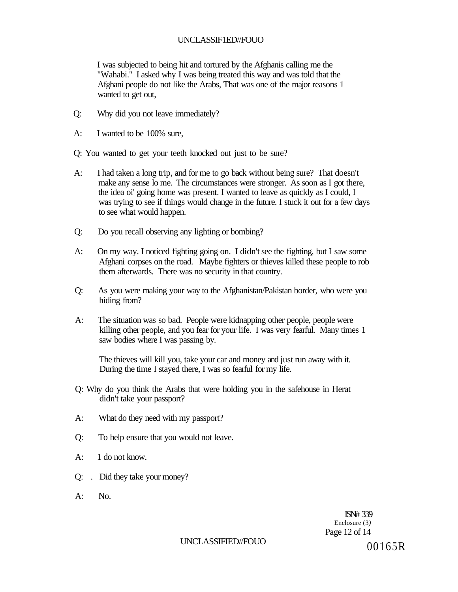I was subjected to being hit and tortured by the Afghanis calling me the "Wahabi." I asked why I was being treated this way and was told that the Afghani people do not like the Arabs, That was one of the major reasons 1 wanted to get out,

- Q: Why did you not leave immediately?
- A: I wanted to be 100% sure,
- Q: You wanted to get your teeth knocked out just to be sure?
- A: I had taken a long trip, and for me to go back without being sure? That doesn't make any sense lo me. The circumstances were stronger. As soon as I got there, the idea oi' going home was present. I wanted to leave as quickly as I could, I was trying to see if things would change in the future. I stuck it out for a few days to see what would happen.
- Q: Do you recall observing any lighting or bombing?
- A: On my way. I noticed fighting going on. I didn't see the fighting, but I saw some Afghani corpses on the road. Maybe fighters or thieves killed these people to rob them afterwards. There was no security in that country.
- Q: As you were making your way to the Afghanistan/Pakistan border, who were you hiding from?
- A: The situation was so bad. People were kidnapping other people, people were killing other people, and you fear for your life. I was very fearful. Many times 1 saw bodies where I was passing by.

The thieves will kill you, take your car and money and just run away with it. During the time I stayed there, I was so fearful for my life.

- Q: Why do you think the Arabs that were holding you in the safehouse in Herat didn't take your passport?
- A: What do they need with my passport?
- Q: To help ensure that you would not leave.
- A: 1 do not know.
- Q: . Did they take your money?
- $A:$  No.

ISN# 339 Enclosure (3*)*  Page 12 of 14

# UNCLASSIFIED//FOUO  $00165R$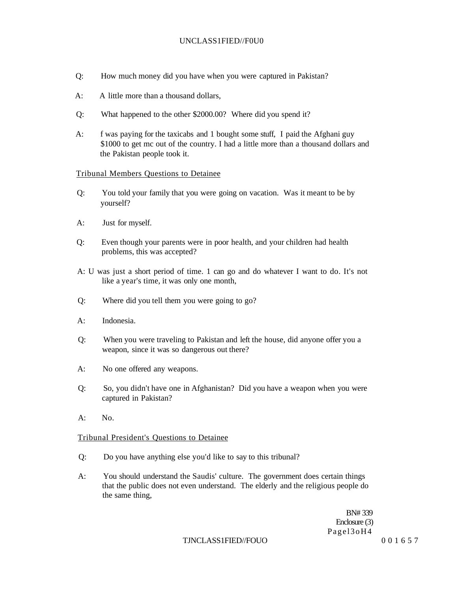### UNCLASS1FIED//F0U0

- Q: How much money did you have when you were captured in Pakistan?
- A: A little more than a thousand dollars,
- Q: What happened to the other \$2000.00? Where did you spend it?
- A: f was paying for the taxicabs and 1 bought some stuff, I paid the Afghani guy \$1000 to get mc out of the country. I had a little more than a thousand dollars and the Pakistan people took it.

### Tribunal Members Questions to Detainee

- Q: You told your family that you were going on vacation. Was it meant to be by yourself?
- A: Just for myself.
- Q: Even though your parents were in poor health, and your children had health problems, this was accepted?
- A: U was just a short period of time. 1 can go and do whatever I want to do. It's not like a year's time, it was only one month,
- Q: Where did you tell them you were going to go?
- A: Indonesia.
- Q: When you were traveling to Pakistan and left the house, did anyone offer you a weapon, since it was so dangerous out there?
- A: No one offered any weapons.
- Q: So, you didn't have one in Afghanistan? Did you have a weapon when you were captured in Pakistan?
- A: No.

### Tribunal President's Questions to Detainee

- Q: Do you have anything else you'd like to say to this tribunal?
- A: You should understand the Saudis' culture. The government does certain things that the public does not even understand. The elderly and the religious people do the same thing,

BN# 339 Enclosure (3) Pagel3oH4

### TJNCLASS1FIED//FOUO 001657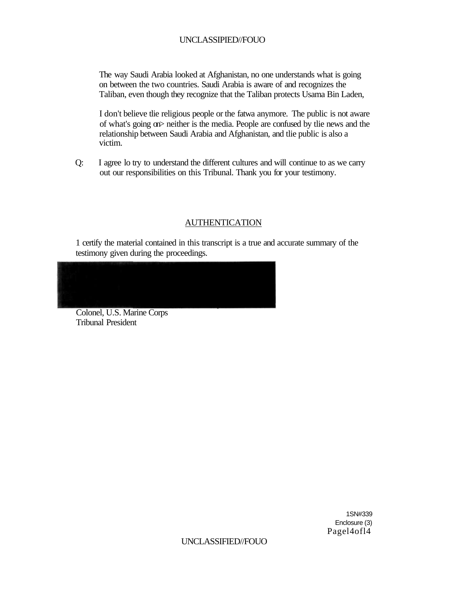The way Saudi Arabia looked at Afghanistan, no one understands what is going on between the two countries. Saudi Arabia is aware of and recognizes the Taliban, even though they recognize that the Taliban protects Usama Bin Laden,

I don't believe tlie religious people or the fatwa anymore. The public is not aware of what's going on> neither is the media. People are confused by tlie news and the relationship between Saudi Arabia and Afghanistan, and tlie public is also a victim.

Q: I agree lo try to understand the different cultures and will continue to as we carry out our responsibilities on this Tribunal. Thank you for your testimony.

# AUTHENTICATION

1 certify the material contained in this transcript is a true and accurate summary of the testimony given during the proceedings.

Colonel, U.S. Marine Corps Tribunal President

> 1SN#339 Enclosure (3) Pagel4ofl4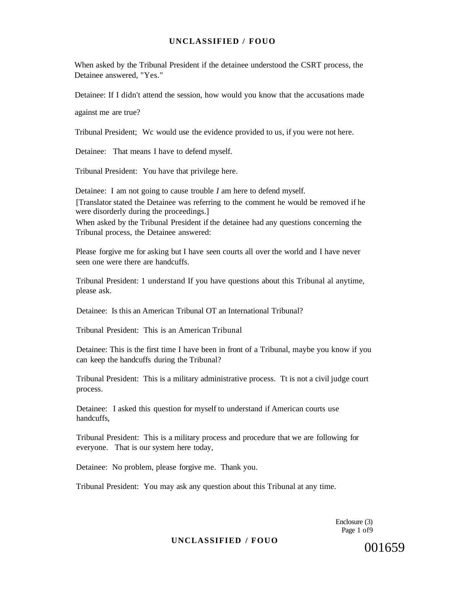When asked by the Tribunal President if the detainee understood the CSRT process, the Detainee answered, "Yes."

Detainee: If I didn't attend the session, how would you know that the accusations made

against me are true?

Tribunal President; Wc would use the evidence provided to us, if you were not here.

Detainee: That means I have to defend myself.

Tribunal President: You have that privilege here.

Detainee: I am not going to cause trouble *I* am here to defend myself.

[Translator stated the Detainee was referring to the comment he would be removed if he were disorderly during the proceedings.]

When asked by the Tribunal President if the detainee had any questions concerning the Tribunal process, the Detainee answered:

Please forgive me for asking but I have seen courts all over the world and I have never seen one were there are handcuffs.

Tribunal President: 1 understand If you have questions about this Tribunal al anytime, please ask.

Detainee: Is this an American Tribunal OT an International Tribunal?

Tribunal President: This is an American Tribunal

Detainee: This is the first time I have been in front of a Tribunal, maybe you know if you can keep the handcuffs during the Tribunal?

Tribunal President: This is a military administrative process. Tt is not a civil judge court process.

Detainee: I asked this question for myself to understand if American courts use handcuffs,

Tribunal President: This is a military process and procedure that we are following for everyone. That is our system here today,

Detainee: No problem, please forgive me. Thank you.

Tribunal President: You may ask any question about this Tribunal at any time.

Enclosure (3) Page 1 of9

### **UNCLASSIFIED / FOUO**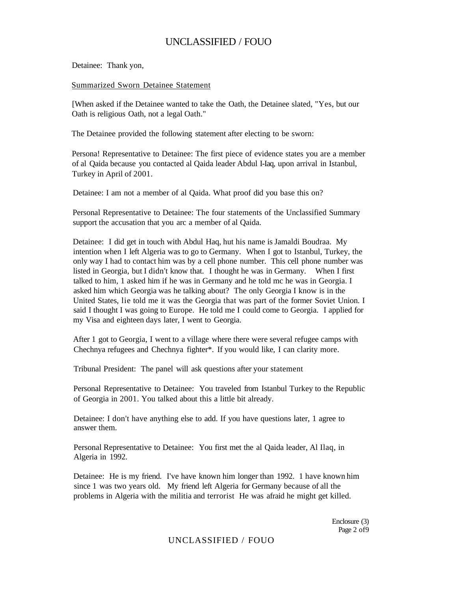Detainee: Thank yon,

Summarized Sworn Detainee Statement

[When asked if the Detainee wanted to take the Oath, the Detainee slated, "Yes, but our Oath is religious Oath, not a legal Oath."

The Detainee provided the following statement after electing to be sworn:

Persona! Representative to Detainee: The first piece of evidence states you are a member of al Qaida because you contacted al Qaida leader Abdul I-Iaq, upon arrival in Istanbul, Turkey in April of 2001.

Detainee: I am not a member of al Qaida. What proof did you base this on?

Personal Representative to Detainee: The four statements of the Unclassified Summary support the accusation that you arc a member of al Qaida.

Detainee: I did get in touch with Abdul Haq, hut his name is Jamaldi Boudraa. My intention when I left Algeria was to go to Germany. When I got to Istanbul, Turkey, the only way I had to contact him was by a cell phone number. This cell phone number was listed in Georgia, but I didn't know that. I thought he was in Germany. When I first talked to him, 1 asked him if he was in Germany and he told mc he was in Georgia. I asked him which Georgia was he talking about? The only Georgia I know is in the United States, lie told me it was the Georgia that was part of the former Soviet Union. I said I thought I was going to Europe. He told me I could come to Georgia. I applied for my Visa and eighteen days later, I went to Georgia.

After 1 got to Georgia, I went to a village where there were several refugee camps with Chechnya refugees and Chechnya fighter\*. If you would like, I can clarity more.

Tribunal President: The panel will ask questions after your statement

Personal Representative to Detainee: You traveled from Istanbul Turkey to the Republic of Georgia in 2001. You talked about this a little bit already.

Detainee: I don't have anything else to add. If you have questions later, 1 agree to answer them.

Personal Representative to Detainee: You first met the al Qaida leader, Al Ilaq, in Algeria in 1992.

Detainee: He is my friend. I've have known him longer than 1992. 1 have known him since 1 was two years old. My friend left Algeria for Germany because of all the problems in Algeria with the militia and terrorist He was afraid he might get killed.

> Enclosure (3) Page 2 of9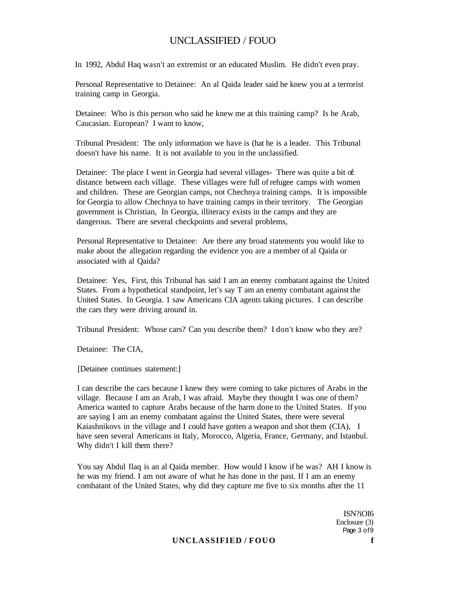In 1992, Abdul Haq wasn't an extremist or an educated Muslim. He didn't even pray.

Personal Representative to Detainee: An al Qaida leader said he knew you at a terrorist training camp in Georgia.

Detainee: Who is this person who said he knew me at this training camp? Is he Arab, Caucasian. European? I want to know,

Tribunal President: The only information we have is (hat he is a leader. This Tribunal doesn't have his name. It is not available to you in the unclassified.

Detainee: The place I went in Georgia had several villages- There was quite a bit of: distance between each village. These villages were full of refugee camps with women and children. These are Georgian camps, not Chechnya training camps. It is impossible for Georgia to allow Chechnya to have training camps in their territory. The Georgian government is Christian, In Georgia, illiteracy exists in the camps and they are dangerous. There are several checkpoints and several problems,

Personal Representative to Detainee: Are there any broad statements you would like to make about the allegation regarding the evidence you are a member of al Qaida or associated with al Qaida?

Detainee: Yes, First, this Tribunal has said I am an enemy combatant against the United States. From a hypothetical standpoint, let's say T am an enemy combatant against the United States. In Georgia. 1 saw Americans CIA agents taking pictures. I can describe the cars they were driving around in.

Tribunal President: Whose cars? Can you describe them? I don't know who they are?

Detainee: The CIA,

[Detainee continues statement:]

I can describe the cars because I knew they were coming to take pictures of Arabs in the village. Because I am an Arab, I was afraid. Maybe they thought I was one of them? America wanted to capture Arabs because of the harm done to the United States. If you are saying I am an enemy combatant against the United States, there were several Kaiashnikovs in the village and I could have gotten a weapon and shot them (CIA), I have seen several Americans in Italy, Morocco, Algeria, France, Germany, and Istanbul. Why didn't I kill them there?

You say Abdul Ilaq is an al Qaida member. How would I know if he was? AH I know is he was my friend. I am not aware of what he has done in the past. If I am an enemy combatant of the United States, why did they capture me five to six months after the 11

> ISN?iOI6 Enclosure (3) Page 3 of9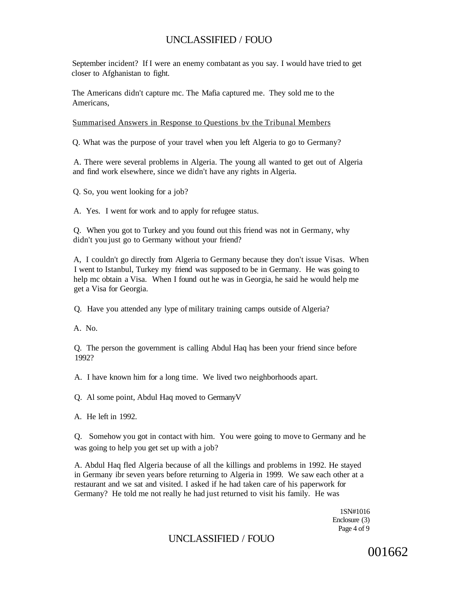September incident? If I were an enemy combatant as you say. I would have tried to get closer to Afghanistan to fight.

The Americans didn't capture mc. The Mafia captured me. They sold me to the Americans,

Summarised Answers in Response to Questions bv the Tribunal Members

Q. What was the purpose of your travel when you left Algeria to go to Germany?

A. There were several problems in Algeria. The young all wanted to get out of Algeria and find work elsewhere, since we didn't have any rights in Algeria.

Q. So, you went looking for a job?

A. Yes. I went for work and to apply for refugee status.

Q. When you got to Turkey and you found out this friend was not in Germany, why didn't you just go to Germany without your friend?

A, I couldn't go directly from Algeria to Germany because they don't issue Visas. When I went to Istanbul, Turkey my friend was supposed to be in Germany. He was going to help mc obtain a Visa. When I found out he was in Georgia, he said he would help me get a Visa for Georgia.

Q. Have you attended any lype of military training camps outside of Algeria?

A. No.

Q. The person the government is calling Abdul Haq has been your friend since before 1992?

A. I have known him for a long time. We lived two neighborhoods apart.

Q. Al some point, Abdul Haq moved to GermanyV

A. He left in 1992.

Q. Somehow you got in contact with him. You were going to move to Germany and he was going to help you get set up with a job?

A. Abdul Haq fled Algeria because of all the killings and problems in 1992. He stayed in Germany ibr seven years before returning to Algeria in 1999. We saw each other at a restaurant and we sat and visited. I asked if he had taken care of his paperwork for Germany? He told me not really he had just returned to visit his family. He was

> 1SN#1016 Enclosure (3) Page 4 of 9

# UNCLASSIFIED / FOUO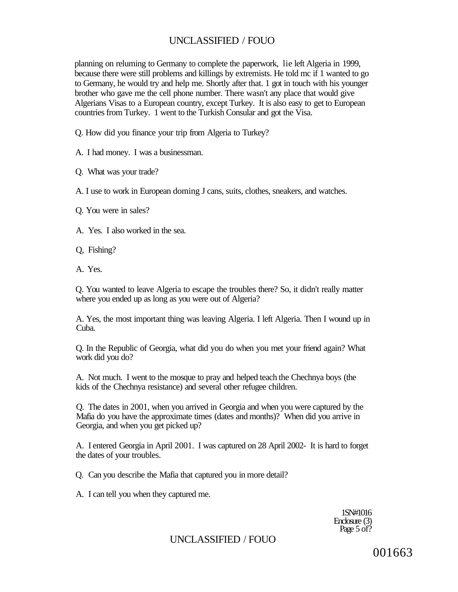planning on reluming to Germany to complete the paperwork, lie left Algeria in 1999, because there were still problems and killings by extremists. He told mc if 1 wanted to go to Germany, he would try and help me. Shortly after that. 1 got in touch with his younger brother who gave me the cell phone number. There wasn't any place that would give Algerians Visas to a European country, except Turkey. It is also easy to get to European countries from Turkey. 1 went to the Turkish Consular and got the Visa.

Q. How did you finance your trip from Algeria to Turkey?

A. I had money. I was a businessman.

Q. What was your trade?

A. I use to work in European doming J cans, suits, clothes, sneakers, and watches.

Q. You were in sales?

A. Yes. I also worked in the sea.

Q, Fishing?

A. Yes.

Q. You wanted to leave Algeria to escape the troubles there? So, it didn't really matter where you ended up as long as you were out of Algeria?

A. Yes, the most important thing was leaving Algeria. I left Algeria. Then I wound up in Cuba.

Q. In the Republic of Georgia, what did you do when you met your friend again? What work did you do?

A. Not much. I went to the mosque to pray and helped teach the Chechnya boys (the kids of the Chechnya resistance) and several other refugee children.

Q. The dates in 2001, when you arrived in Georgia and when you were captured by the Mafia do you have the approximate times (dates and months)? When did you arrive in Georgia, and when you get picked up?

A. I entered Georgia in April 2001. I was captured on 28 April 2002- It is hard to forget the dates of your troubles.

Q. Can you describe the Mafia that captured you in more detail?

A. I can tell you when they captured me.

1SN#1016 Enclosure (3) Page 5 of?

# UNCLASSIFIED / FOUO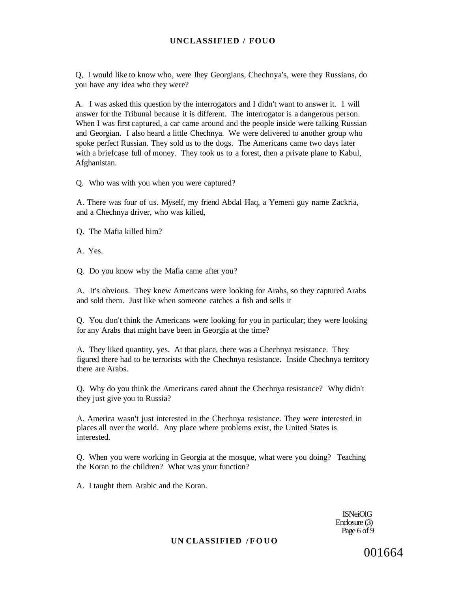Q, I would like to know who, were Ihey Georgians, Chechnya's, were they Russians, do you have any idea who they were?

A. I was asked this question by the interrogators and I didn't want to answer it. 1 will answer for the Tribunal because it is different. The interrogator is a dangerous person. When I was first captured, a car came around and the people inside were talking Russian and Georgian. I also heard a little Chechnya. We were delivered to another group who spoke perfect Russian. They sold us to the dogs. The Americans came two days later with a briefcase full of money. They took us to a forest, then a private plane to Kabul, Afghanistan.

Q. Who was with you when you were captured?

A. There was four of us. Myself, my friend Abdal Haq, a Yemeni guy name Zackria, and a Chechnya driver, who was killed,

Q. The Mafia killed him?

A. Yes.

Q. Do you know why the Mafia came after you?

A. It's obvious. They knew Americans were looking for Arabs, so they captured Arabs and sold them. Just like when someone catches a fish and sells it

Q. You don't think the Americans were looking for you in particular; they were looking for any Arabs that might have been in Georgia at the time?

A. They liked quantity, yes. At that place, there was a Chechnya resistance. They figured there had to be terrorists with the Chechnya resistance. Inside Chechnya territory there are Arabs.

Q. Why do you think the Americans cared about the Chechnya resistance? Why didn't they just give you to Russia?

A. America wasn't just interested in the Chechnya resistance. They were interested in places all over the world. Any place where problems exist, the United States is interested.

Q. When you were working in Georgia at the mosque, what were you doing? Teaching the Koran to the children? What was your function?

A. I taught them Arabic and the Koran.

ISNeiOlG Enclosure (3) Page 6 of 9

### **UN CLASSIFIED /FOUO**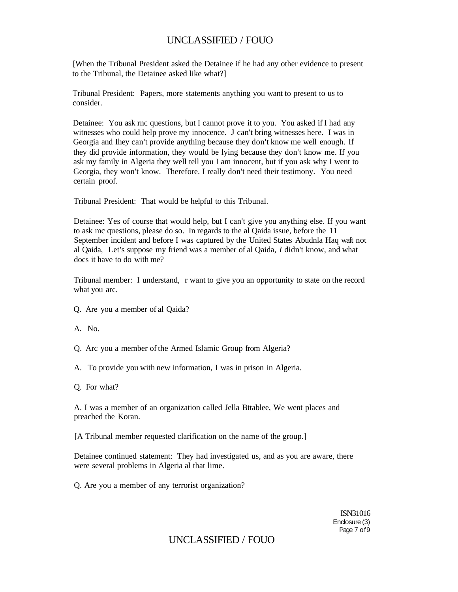[When the Tribunal President asked the Detainee if he had any other evidence to present to the Tribunal, the Detainee asked like what?]

Tribunal President: Papers, more statements anything you want to present to us to consider.

Detainee: You ask rnc questions, but I cannot prove it to you. You asked if I had any witnesses who could help prove my innocence. J can't bring witnesses here. I was in Georgia and Ihey can't provide anything because they don't know me well enough. If they did provide information, they would be lying because they don't know me. If you ask my family in Algeria they well tell you I am innocent, but if you ask why I went to Georgia, they won't know. Therefore. I really don't need their testimony. You need certain proof.

Tribunal President: That would be helpful to this Tribunal.

Detainee: Yes of course that would help, but I can't give you anything else. If you want to ask mc questions, please do so. In regards to the al Qaida issue, before the 11 September incident and before I was captured by the United States Abudnla Haq waft not al Qaida, Let's suppose my friend was a member of al Qaida, *I* didn't know, and what docs it have to do with me?

Tribunal member: I understand, r want to give you an opportunity to state on the record what you arc.

- Q. Are you a member of al Qaida?
- A. No.
- Q. Arc you a member of the Armed Islamic Group from Algeria?
- A. To provide you with new information, I was in prison in Algeria.
- Q. For what?

A. I was a member of an organization called Jella Bttablee, We went places and preached the Koran.

[A Tribunal member requested clarification on the name of the group.]

Detainee continued statement: They had investigated us, and as you are aware, there were several problems in Algeria al that lime.

Q. Are you a member of any terrorist organization?

ISN31016 Enclosure (3) Page 7 of9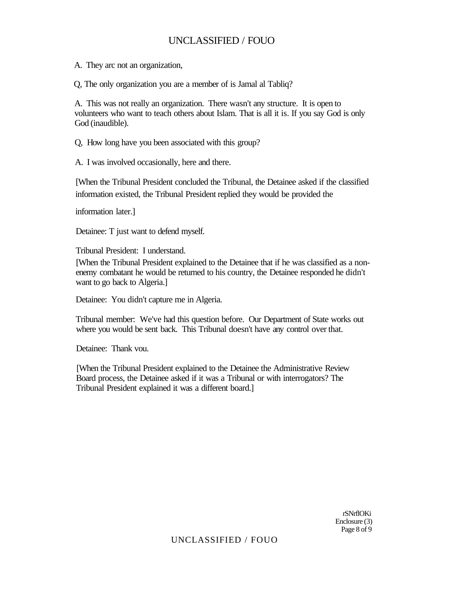A. They arc not an organization,

Q, The only organization you are a member of is Jamal al Tabliq?

A. This was not really an organization. There wasn't any structure. It is open to volunteers who want to teach others about Islam. That is all it is. If you say God is only God (inaudible).

Q, How long have you been associated with this group?

A. I was involved occasionally, here and there.

[When the Tribunal President concluded the Tribunal, the Detainee asked if the classified information existed, the Tribunal President replied they would be provided the

information later.]

Detainee: T just want to defend myself.

Tribunal President: I understand.

[When the Tribunal President explained to the Detainee that if he was classified as a nonenemy combatant he would be returned to his country, the Detainee responded he didn't want to go back to Algeria.]

Detainee: You didn't capture me in Algeria.

Tribunal member: We've had this question before. Our Department of State works out where you would be sent back. This Tribunal doesn't have any control over that.

Detainee: Thank vou.

[When the Tribunal President explained to the Detainee the Administrative Review Board process, the Detainee asked if it was a Tribunal or with interrogators? The Tribunal President explained it was a different board.]

> rSNrflOKi Enclosure (3) Page 8 of 9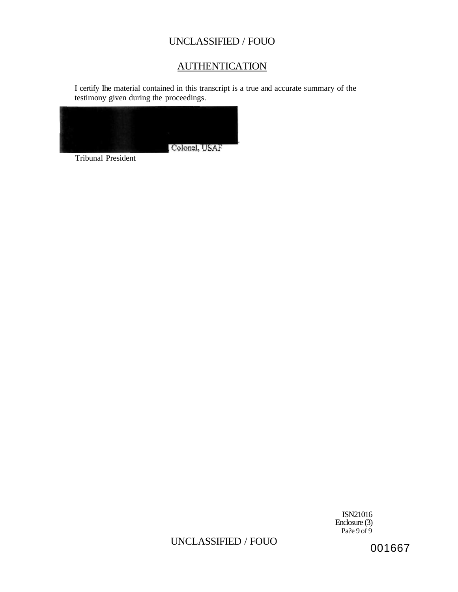# AUTHENTICATION

I certify Ihe material contained in this transcript is a true and accurate summary of the testimony given during the proceedings.



Tribunal President

ISN21016 Enclosure (3)  $Pa?e 9 of 9$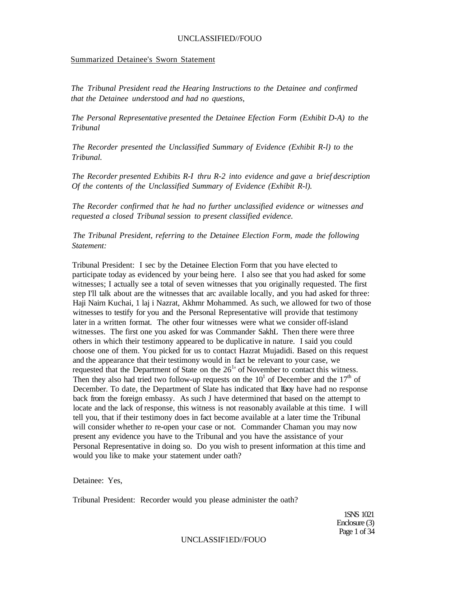### Summarized Detainee's Sworn Statement

*The Tribunal President read the Hearing Instructions to the Detainee and confirmed that the Detainee understood and had no questions,* 

*The Personal Representative presented the Detainee Efection Form (Exhibit D-A) to the Tribunal* 

*The Recorder presented the Unclassified Summary of Evidence (Exhibit R-l) to the Tribunal.* 

*The Recorder presented Exhibits R-I thru R-2 into evidence and gave a brief description Of the contents of the Unclassified Summary of Evidence (Exhibit R-l).* 

*The Recorder confirmed that he had no further unclassified evidence or witnesses and requested a closed Tribunal session to present classified evidence.* 

*The Tribunal President, referring to the Detainee Election Form, made the following Statement:* 

Tribunal President: I sec by the Detainee Election Form that you have elected to participate today as evidenced by your being here. I also see that you had asked for some witnesses; I actually see a total of seven witnesses that you originally requested. The first step I'll talk about are the witnesses that arc available locally, and you had asked for three: Haji Nairn Kuchai, 1 laj i Nazrat, Akhmr Mohammed. As such, we allowed for two of those witnesses to testify for you and the Personal Representative will provide that testimony later in a written format. The other four witnesses were what we consider off-island witnesses. The first one you asked for was Commander SakhL Then there were three others in which their testimony appeared to be duplicative in nature. I said you could choose one of them. You picked for us to contact Hazrat Mujadidi. Based on this request and the appearance that their testimony would in fact be relevant to your case, we requested that the Department of State on the  $26<sup>1</sup>$  of November to contact this witness. Then they also had tried two follow-up requests on the  $10<sup>1</sup>$  of December and the  $17<sup>th</sup>$  of December. To date, the Department of Slate has indicated that Ifaoy have had no response back from the foreign embassy. As such J have determined that based on the attempt to locate and the lack of response, this witness is not reasonably available at this time. I will tell you, that if their testimony does in fact become available at a later time the Tribunal will consider whether *to* re-open your case or not. Commander Chaman you may now present any evidence you have to the Tribunal and you have the assistance of your Personal Representative in doing so. Do you wish to present information at this time and would you like to make your statement under oath?

Detainee: Yes,

Tribunal President: Recorder would you please administer the oath?

1SNS 1021 Enclosure (3) Page 1 of 34

### UNCLASSIF1ED//FOUO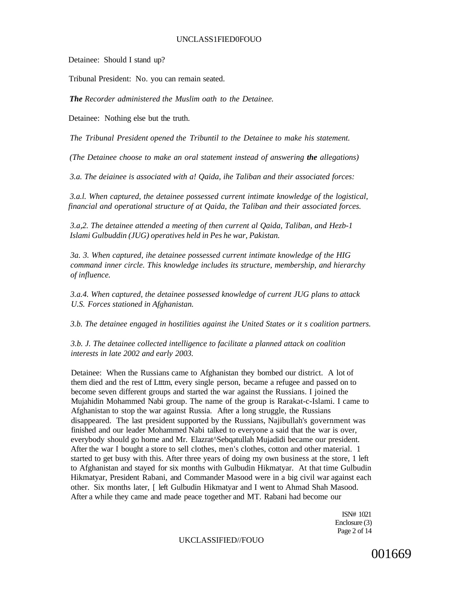### UNCLASS1FIED0FOUO

Detainee: Should I stand up?

Tribunal President: No. you can remain seated.

*The Recorder administered the Muslim oath to the Detainee.* 

Detainee: Nothing else but the truth.

*The Tribunal President opened the Tribuntil to the Detainee to make his statement.* 

*(The Detainee choose to make an oral statement instead of answering the allegations)* 

*3.a. The deiainee is associated with a! Qaida, ihe Taliban and their associated forces:* 

*3.a.l. When captured, the detainee possessed current intimate knowledge of the logistical, financial and operational structure of at Qaida, the Taliban and their associated forces.* 

*3.a,2. The detainee attended a meeting of then current al Qaida, Taliban, and Hezb-1 Islami Gulbuddin (JUG) operatives held in Pes he war, Pakistan.* 

*3a. 3. When captured, ihe detainee possessed current intimate knowledge of the HIG command inner circle. This knowledge includes its structure, membership, and hierarchy of influence.* 

*3.a.4. When captured, the detainee possessed knowledge of current JUG plans to attack U.S. Forces stationed in Afghanistan.* 

*3.b. The detainee engaged in hostilities against ihe United States or it s coalition partners.* 

*3.b. J. The detainee collected intelligence to facilitate a planned attack on coalition interests in late 2002 and early 2003.* 

Detainee: When the Russians came to Afghanistan they bombed our district. A lot of them died and the rest of Ltttm, every single person, became a refugee and passed on to become seven different groups and started the war against the Russians. I joined the Mujahidin Mohammed Nabi group. The name of the group is Rarakat-c-Islami. I came to Afghanistan to stop the war against Russia. After a long struggle, the Russians disappeared. The last president supported by the Russians, Najibullah's government was finished and our leader Mohammed Nabi talked to everyone a said that the war is over, everybody should go home and Mr. Elazrat^Sebqatullah Mujadidi became our president. After the war I bought a store to sell clothes, men's clothes, cotton and other material. 1 started to get busy with this. After three years of doing my own business at the store, 1 left to Afghanistan and stayed for six months with Gulbudin Hikmatyar. At that time Gulbudin Hikmatyar, President Rabani, and Commander Masood were in a big civil war against each other. Six months later, [ left Gulbudin Hikmatyar and I went to Ahmad Shah Masood. After a while they came and made peace together and MT. Rabani had become our

> ISN# 1021 Enclosure (3) Page 2 of 14

UKCLASSIFIED//FOUO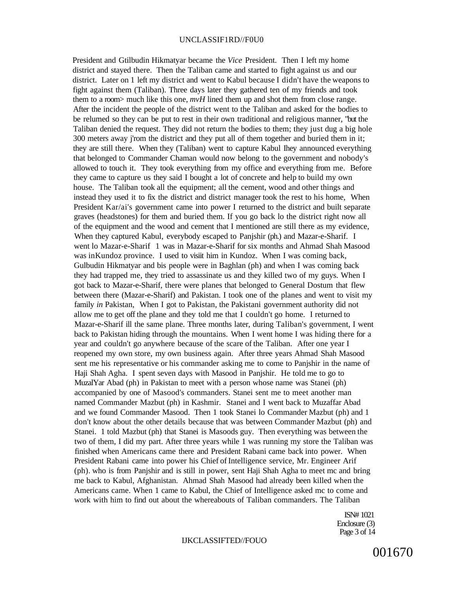### UNCLASSIF1RD//F0U0

President and Gtilbudin Hikmatyar became the *Vice* President. Then I left my home district and stayed there. Then the Taliban came and started to fight against us and our district. Later on 1 left my district and went to Kabul because I didn't have the weapons to fight against them (Taliban). Three days later they gathered ten of my friends and took them to a room> much like this one, *mvH* lined them up and shot them from close range. After the incident the people of the district went to the Taliban and asked for the bodies to be relumed so they can be put to rest in their own traditional and religious manner, "but the Taliban denied the request. They did not return the bodies to them; they just dug a big hole 300 meters away j'rom the district and they put all of them together and buried them in it; they are still there. When they (Taliban) went to capture Kabul Ihey announced everything that belonged to Commander Chaman would now belong to the government and nobody's allowed to touch it. They took everything from my office and everything from me. Before they came to capture us they said I bought a lot of concrete and help to build my own house. The Taliban took all the equipment; all the cement, wood and other things and instead they used it to fix the district and district manager took the rest to his home, When President Kar/ai's government came into power I returned to the district and built separate graves (headstones) for them and buried them. If you go back lo the district right now all of the equipment and the wood and cement that I mentioned are still there as my evidence, When they captured Kabul, everybody escaped to Panjshir (ph.) and Mazar-e-Sharif. I went lo Mazar-e-Sharif 1 was in Mazar-e-Sharif for six months and Ahmad Shah Masood was inKundoz province. I used to visiit him in Kundoz. When I was coming back, Gulbudin Hikmatyar and bis people were in Baghlan (ph) and when I was coming back they had trapped me, they tried to assassinate us and they killed two of my guys. When I got back to Mazar-e-Sharif, there were planes that belonged to General Dostum that flew between there (Mazar-e-Sharif) and Pakistan. I took one of the planes and went to visit my family *in* Pakistan, When I got to Pakistan, the Pakistani government authority did not allow me to get off the plane and they told me that I couldn't go home. I returned to Mazar-e-Sharif ill the same plane. Three months later, during Taliban's government, I went back to Pakistan hiding through the mountains. When I went home I was hiding there for a year and couldn't go anywhere because of the scare of the Taliban. After one year I reopened my own store, my own business again. After three years Ahmad Shah Masood sent me his representative or his commander asking me to come to Panjshir in the name of Haji Shah Agha. I spent seven days with Masood in Panjshir. He told me to go to MuzalYar Abad (ph) in Pakistan to meet with a person whose name was Stanei (ph) accompanied by one of Masood's commanders. Stanei sent me to meet another man named Commander Mazbut (ph) in Kashmir. Stanei and I went back to Muzaffar Abad and we found Commander Masood. Then 1 took Stanei lo Commander Mazbut (ph) and 1 don't know about the other details because that was between Commander Mazbut (ph) and Stanei. 1 told Mazbut (ph) that Stanei is Masoods guy. Then everything was between the two of them, I did my part. After three years while 1 was running my store the Taliban was finished when Americans came there and President Rabani came back into power. When President Rabani came into power his Chief of Intelligence service, Mr. Engineer Arif (ph). who is from Panjshir and is still in power, sent Haji Shah Agha to meet mc and bring me back to Kabul, Afghanistan. Ahmad Shah Masood had already been killed when the Americans came. When 1 came to Kabul, the Chief of Intelligence asked mc to come and work with him to find out about the whereabouts of Taliban commanders. The Taliban

> ISN# 1021 Enclosure (3) Page 3 of 14

### IJKCLASSIFTED//FOUO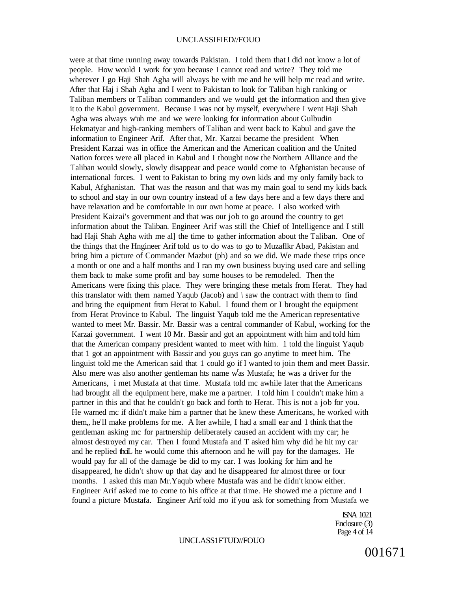were at that time running away towards Pakistan. I told them that I did not know a lot of people. How would I work for you because I cannot read and write? They told me wherever J go Haji Shah Agha will always be with me and he will help mc read and write. After that Haj i Shah Agha and I went to Pakistan to look for Taliban high ranking or Taliban members or Taliban commanders and we would get the information and then give it to the Kabul government. Because I was not by myself, everywhere I went Haji Shah Agha was always w'uh me and we were looking for information about Gulbudin Hekmatyar and high-ranking members of Taliban and went back to Kabul and gave the information to Engineer Arif. After that, Mr. Karzai became the president When President Karzai was in office the American and the American coalition and the United Nation forces were all placed in Kabul and I thought now the Northern Alliance and the Taliban would slowly, slowly disappear and peace would come to Afghanistan because of international forces. I went to Pakistan to bring my own kids and my only family back to Kabul, Afghanistan. That was the reason and that was my main goal to send my kids back to school and stay in our own country instead of a few days here and a few days there and have relaxation and be comfortable in our own home at peace. I also worked with President Kaizai's government and that was our job to go around the country to get information about the Taliban. Engineer Arif was still the Chief of Intelligence and I still had Haji Shah Agha with me al] the time to gather information about the Taliban. One of the things that the Hngineer Arif told us to do was to go to Muzaflkr Abad, Pakistan and bring him a picture of Commander Mazbut (ph) and so we did. We made these trips once a month or one and a half months and I ran my own business buying used care and selling them back to make some profit and bay some houses to be remodeled. Then the Americans were fixing this place. They were bringing these metals from Herat. They had this translator with them named Yaqub (Jacob) and *\* saw the contract with them to find and bring the equipment from Herat to Kabul. I found them or I brought the equipment from Herat Province to Kabul. The linguist Yaqub told me the American representative wanted to meet Mr. Bassir. Mr. Bassir was a central commander of Kabul, working for the Karzai government. I went 10 Mr. Bassir and got an appointment with him and told him that the American company president wanted to meet with him. 1 told the linguist Yaqub that 1 got an appointment with Bassir and you guys can go anytime to meet him. The linguist told me the American said that 1 could go if I wanted to join them and meet Bassir. Also mere was also another gentleman hts name w'as Mustafa; he was a driver for the Americans, i met Mustafa at that time. Mustafa told mc awhile later that the Americans had brought all the equipment here, make me a partner. I told him I couldn't make him a partner in this and that he couldn't go back and forth to Herat. This is not a job for you. He warned mc if didn't make him a partner that he knew these Americans, he worked with them,, he'll make problems for me. A Iter awhile, I had a small ear and 1 think that the gentleman asking mc for partnership deliberately caused an accident with my car; he almost destroyed my car. Then I found Mustafa and T asked him why did he hit my car and he replied thciL he would come this afternoon and he will pay for the damages. He would pay for all of the damage be did to my car. I was looking for him and he disappeared, he didn't show up that day and he disappeared for almost three or four months. 1 asked this man Mr.Yaqub where Mustafa was and he didn't know either. Engineer Arif asked me to come to his office at that time. He showed me a picture and I found a picture Mustafa. Engineer Arif told mo if you ask for something from Mustafa we

> ISNA 1021 Enclosure (3) Page 4 of 14

### UNCLASS1FTUD//FOUO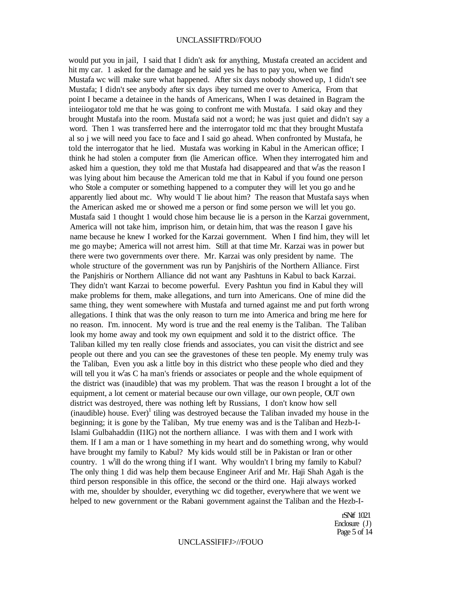### UNCLASSIFTRD//FOUO

would put you in jail, I said that I didn't ask for anything, Mustafa created an accident and hit my car. 1 asked for the damage and he said yes he has to pay you, when we find Mustafa wc will make sure what happened. After six days nobody showed up, 1 didn't see Mustafa; I didn't see anybody after six days ibey turned me over to America, From that point I became a detainee in the hands of Americans, When I was detained in Bagram the inteiiogator told me that he was going to confront me with Mustafa. I said okay and they brought Mustafa into the room. Mustafa said not a word; he was just quiet and didn't say a word. Then 1 was transferred here and the interrogator told mc that they brought Mustafa al so j we will need you face to face and I said go ahead. When confronted by Mustafa, he told the interrogator that he lied. Mustafa was working in Kabul in the American office; I think he had stolen a computer from (lie American office. When they interrogated him and asked him a question, they told me that Mustafa had disappeared and that w'as the reason I was lying about him because the American told me that in Kabul if you found one person who Stole a computer or something happened to a computer they will let you go and he apparently lied about mc. Why would T lie about him? The reason that Mustafa says when the American asked me or showed me a person or find some person we will let you go. Mustafa said 1 thought 1 would chose him because lie is a person in the Karzai government, America will not take him, imprison him, or detain him, that was the reason I gave his name because he knew I worked for the Karzai government. When I find him, they will let me go maybe; America will not arrest him. Still at that time Mr. Karzai was in power but there were two governments over there. Mr. Karzai was only president by name. The whole structure of the government was run by Panjshiris of the Northern Alliance. First the Panjshiris or Northern Alliance did not want any Pashtuns in Kabul to back Karzai. They didn't want Karzai to become powerful. Every Pashtun you find in Kabul they will make problems for them, make allegations, and turn into Americans. One of mine did the same thing, they went somewhere with Mustafa and turned against me and put forth wrong allegations. I think that was the only reason to turn me into America and bring me here for no reason. I'm. innocent. My word is true and the real enemy is the Taliban. The Taliban look my home away and took my own equipment and sold it to the district office. The Taliban killed my ten really close friends and associates, you can visit the district and see people out there and you can see the gravestones of these ten people. My enemy truly was the Taliban, Even you ask a little boy in this district who these people who died and they will tell you it w'as C ha man's friends or associates or people and the whole equipment of the district was (inaudible) that was my problem. That was the reason I brought a lot of the equipment, a lot cement or material because our own village, our own people, OUT own district was destroyed, there was nothing left by Russians, I don't know how sell  $(inaudible)$  house. Ever $)^{1}$  tiling was destroyed because the Taliban invaded my house in the beginning; it is gone by the Taliban, My true enemy was and is the Taliban and Hezb-I-Islami Gulbahaddin (I1IG) not the northern alliance. I was with them and I work with them. If I am a man or 1 have something in my heart and do something wrong, why would have brought my family to Kabul? My kids would still be in Pakistan or Iran or other country. 1 w'ill do the wrong thing if I want. Why wouldn't I bring my family to Kabul? The only thing 1 did was help them because Engineer Arif and Mr. Haji Shah Agah is the third person responsible in this office, the second or the third one. Haji always worked with me, shoulder by shoulder, everything wc did together, everywhere that we went we helped to new government or the Rabani government against the Taliban and the Hezb-I-

> rSNtf 1021 Enclosure  $(J)$ Page 5 of 14

#### UNCLASSlFIFJ>//FOUO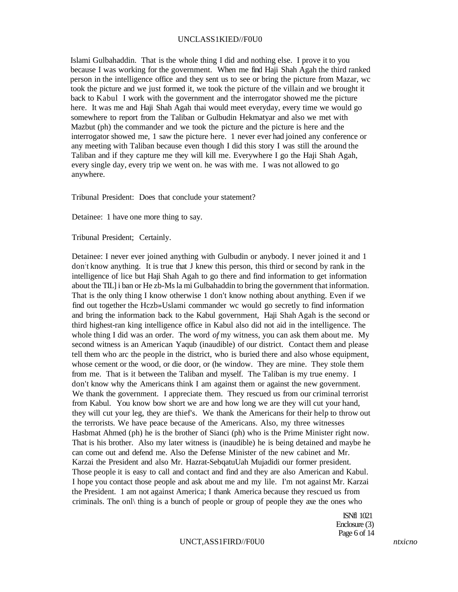### UNCLASS1KIED//F0U0

Islami Gulbahaddin. That is the whole thing I did and nothing else. I prove it to you because I was working for the government. When me find Haji Shah Agah the third ranked person in the intelligence office and they sent us to see or bring the picture from Mazar, wc took the picture and we just formed it, we took the picture of the villain and we brought it back to Kabul I work with the government and the interrogator showed me the picture here. It was me and Haji Shah Agah thai would meet everyday, every time we would go somewhere to report from the Taliban or Gulbudin Hekmatyar and also we met with Mazbut (ph) the commander and we took the picture and the picture is here and the interrogator showed me, 1 saw the picture here. 1 never ever had joined any conference or any meeting with Taliban because even though I did this story I was still the around the Taliban and if they capture me they will kill me. Everywhere I go the Haji Shah Agah, every single day, every trip we went on. he was with me. I was not allowed to go anywhere.

Tribunal President: Does that conclude your statement?

Detainee: 1 have one more thing to say.

Tribunal President; Certainly.

Detainee: I never ever joined anything with Gulbudin or anybody. I never joined it and 1 don't know anything. It is true that J knew this person, this third or second by rank in the intelligence of lice but Haji Shah Agah to go there and find information to get information about the TIL] i ban or He zb-Ms la mi Gulbahaddin to bring the government that information. That is the only thing I know otherwise 1 don't know nothing about anything. Even if we find out together the Hczb»Uslami commander wc would go secretly to find information and bring the information back to the Kabul government, Haji Shah Agah is the second or third highest-ran king intelligence office in Kabul also did not aid in the intelligence. The whole thing I did was an order. The word *of* my witness, you can ask them about me. My second witness is an American Yaqub (inaudible) of our district. Contact them and please tell them who arc the people in the district, who is buried there and also whose equipment, whose cement or the wood, or die door, or (he window. They are mine. They stole them from me. That is it between the Taliban and myself. The Taliban is my true enemy. I don't know why the Americans think I am against them or against the new government. We thank the government. I appreciate them. They rescued us from our criminal terrorist from Kabul. You know bow short we are and how long we are they will cut your hand, they will cut your leg, they are thief's. We thank the Americans for their help to throw out the terrorists. We have peace because of the Americans. Also, my three witnesses Hasbmat Ahmed (ph) he is the brother of Sianci (ph) who is the Prime Minister right now. That is his brother. Also my later witness is (inaudible) he is being detained and maybe he can come out and defend me. Also the Defense Minister of the new cabinet and Mr. Karzai the President and also Mr. Hazrat-SebqatuUah Mujadidi our former president. Those people it is easy to call and contact and find and they are also American and Kabul. I hope you contact those people and ask about me and my lile. I'm not against Mr. Karzai the President. 1 am not against America; I thank America because they rescued us from criminals. The onl\ thing is a bunch of people or group of people they axe the ones who

> ISNfl 1021 Enclosure (3) Page 6 of 14

### UNCT,ASS1FIRD//F0U0 *ntxicno*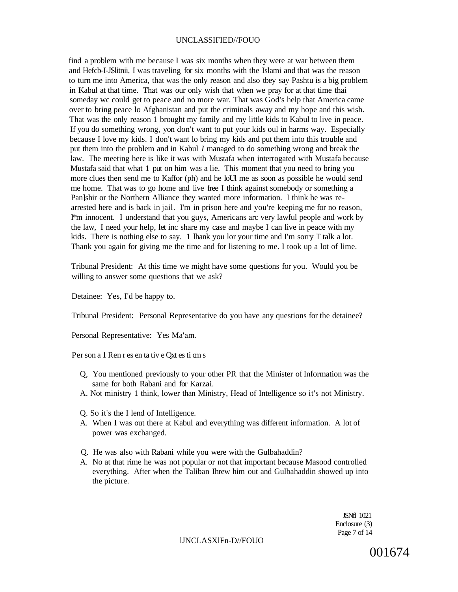find a problem with me because I was six months when they were at war between them and Hefcb-I-J\$litnii, I was traveling for six months with the Islami and that was the reason to turn me into America, that was the only reason and also tbey say Pashtu is a big problem in Kabul at that time. That was our only wish that when we pray for at that time thai someday wc could get to peace and no more war. That was God's help that America came over to bring peace lo Afghanistan and put the criminals away and my hope and this wish. That was the only reason 1 brought my family and my little kids to Kabul to live in peace. If you do something wrong, yon don't want to put your kids oul in harms way. Especially because I love my kids. I don't want lo bring my kids and put them into this trouble and put them into the problem and in Kabul *I* managed to do something wrong and break the law. The meeting here is like it was with Mustafa when interrogated with Mustafa because Mustafa said that what 1 put on him was a lie. This moment that you need to bring you more clues then send me to Kaffor (ph) and he loUl me as soon as possible he would send me home. That was to go home and live free I think against somebody or something a Pan]shir or the Northern Alliance they wanted more information. I think he was rearrested here and is back in jail. I'm in prison here and you're keeping me for no reason, I\*m innocent. I understand that you guys, Americans arc very lawful people and work by the law, I need your help, let inc share my case and maybe I can live in peace with my kids. There is nothing else to say. 1 lhank you lor your time and I'm sorry T talk a lot. Thank you again for giving me the time and for listening to me. I took up a lot of lime.

Tribunal President: At this time we might have some questions for you. Would you be willing to answer some questions that we ask?

Detainee: Yes, I'd be happy to.

Tribunal President: Personal Representative do you have any questions for the detainee?

Personal Representative: Yes Ma'am.

### Per son a 1 Ren r es en ta tiv e Qxt es ti cm s

- Q, You mentioned previously to your other PR that the Minister of Information was the same for both Rabani and for Karzai.
- A. Not ministry 1 think, lower than Ministry, Head of Intelligence so it's not Ministry.
- Q. So it's the I lend of Intelligence.
- A. When I was out there at Kabul and everything was different information. A lot of power was exchanged.
- Q. He was also with Rabani while you were with the Gulbahaddin?
- A. No at that rime he was not popular or not that important because Masood controlled everything. After when the Taliban Ihrew him out and Gulbahaddin showed up into the picture.

JSNfl 1021 Enclosure (3) Page 7 of 14

lJNCLASXlFn-D//FOUO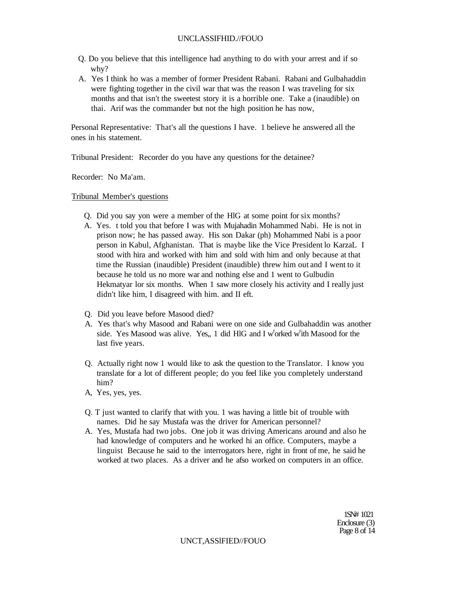- Q. Do you believe that this intelligence had anything to do with your arrest and if so why?
- A. Yes I think ho was a member of former President Rabani. Rabani and Gulbahaddin were fighting together in the civil war that was the reason I was traveling for six months and that isn't the sweetest story it is a horrible one. Take a (inaudible) on thai. Arif was the commander but not the high position he has now,

Personal Representative: That's all the questions I have. 1 believe he answered all the ones in his statement.

Tribunal President: Recorder do you have any questions for the detainee?

Recorder: No Ma'am.

Tribunal Member's questions

- Q. Did you say yon were a member of the HlG at some point for six months?
- A. Yes. t told you that before I was with Mujahadin Mohammed Nabi. He is not in prison now; he has passed away. His son Dakar (ph) Mohammed Nabi is a poor person in Kabul, Afghanistan. That is maybe like the Vice President lo KarzaL I stood with hira and worked with him and sold with him and only because at that time the Russian (inaudible) President (inaudible) threw him out and I went to it because he told us no more war and nothing else and 1 went to Gulbudin Hekmatyar lor six months. When 1 saw more closely his activity and I really just didn't like him, I disagreed with him. and II eft.
- Q. Did you leave before Masood died?
- A. Yes that's why Masood and Rabani were on one side and Gulbahaddin was another side. Yes Masood was alive. Yes,, 1 did HIG and I w<sup>r</sup>orked w<sup>r</sup>ith Masood for the last five years.
- Q. Actually right now 1 would like to ask the question to the Translator. I know you translate for a lot of different people; do you feel like you completely understand him?
- A, Yes, yes, yes.
- Q. T just wanted to clarify that with you. 1 was having a little bit of trouble with names. Did he say Mustafa was the driver for American personnel?
- A. Yes, Mustafa had two jobs. One job it was driving Americans around and also he had knowledge of computers and he worked hi an office. Computers, maybe a linguist Because he said to the interrogators here, right in front of me, he said he worked at two places. As a driver and he afso worked on computers in an office.

1SN# 1021 Enclosure (3) Page 8 of 14

UNCT,ASSlFIED//FOUO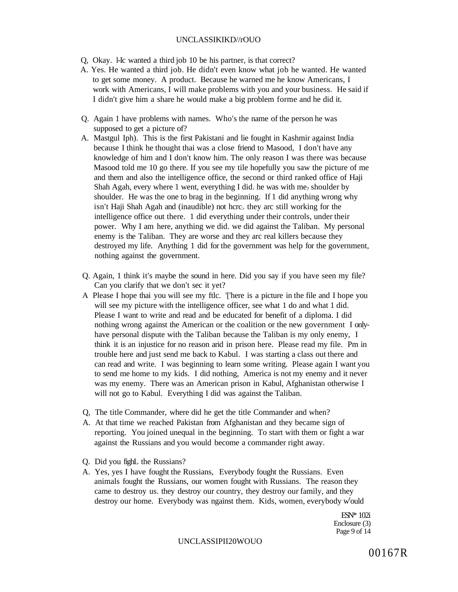### UNCLASSIKIKD//rOUO

- Q, Okay. l-Ic wanted a third job 10 be his partner, is that correct?
- A. Yes. He wanted a third job. He didn't even know what job he wanted. He wanted to get some money. A product. Because he warned me he know Americans, I work with Americans, I will make problems with you and your business. He said if I didn't give him a share he would make a big problem forme and he did it.
- Q. Again 1 have problems with names. Who's the name of the person he was supposed to get a picture of?
- A. Mastgul Iph). This is the first Pakistani and lie fought in Kashmir against India because I think he thought thai was a close friend to Masood, I don't have any knowledge of him and I don't know him. The only reason I was there was because Masood told me 10 go there. If you see my tile hopefully you saw the picture of me and them and also the intelligence office, the second or third ranked office of Haji Shah Agah, every where 1 went, everything I did. he was with me<sub>?</sub> shoulder by shoulder. He was the one to brag in the beginning. If 1 did anything wrong why isn't Haji Shah Agah and (inaudible) not hcrc> they arc still working for the intelligence office out there. 1 did everything under their controls, under their power. Why I am here, anything we did. we did against the Taliban. My personal enemy is the Taliban. They are worse and they arc real killers because they destroyed my life. Anything 1 did for the government was help for the government, nothing against the government.
- Q. Again, 1 think it's maybe the sound in here. Did you say if you have seen my file? Can you clarify that we don't sec it yet?
- A Please I hope thai you will see my ftlc. '['here is a picture in the file and I hope you will see my picture with the intelligence officer, see what 1 do and what 1 did. Please I want to write and read and be educated for benefit of a diploma. I did nothing wrong against the American or the coalition or the new government I onlyhave personal dispute with the Taliban because the Taliban is my only enemy, I think it is an injustice for no reason arid in prison here. Please read my file. Pm in trouble here and just send me back to Kabul. I was starting a class out there and can read and write. I was beginning to learn some writing. Please again I want you to send me home to my kids. I did nothing, America is not my enemy and it never was my enemy. There was an American prison in Kabul, Afghanistan otherwise I will not go to Kabul. Everything I did was against the Taliban.
- Q, The title Commander, where did he get the title Commander and when?
- A. At that time we reached Pakistan from Afghanistan and they became sign of reporting. You joined unequal in the beginning. To start with them or fight a war against the Russians and you would become a commander right away.
- Q. Did you fighL the Russians?
- A. Yes, yes I have fought the Russians, Everybody fought the Russians. Even animals fought the Russians, our women fought with Russians. The reason they came to destroy us. they destroy our country, they destroy our family, and they destroy our home. Everybody was ngainst them. Kids, women, everybody w'ould

ESN\* 102i Enclosure (3) Page 9 of 14

### UNCLASSIPII20WOUO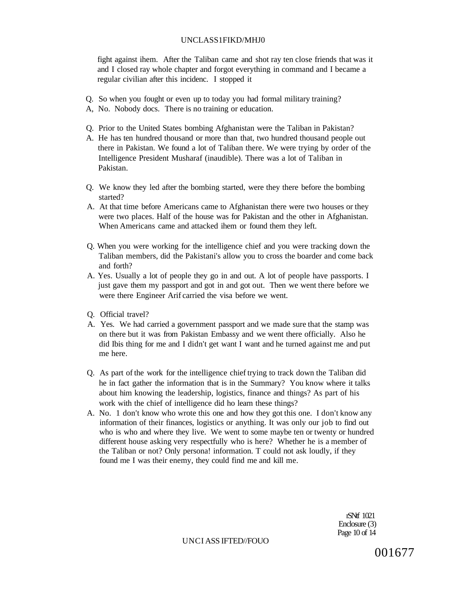### UNCLASS1FIKD/MHJ0

fight against ihem. After the Taliban came and shot ray ten close friends that was it and I closed ray whole chapter and forgot everything in command and I became a regular civilian after this incidenc. I stopped it

- Q. So when you fought or even up to today you had formal military training?
- A, No. Nobody docs. There is no training or education.
- Q. Prior to the United States bombing Afghanistan were the Taliban in Pakistan?
- A. He has ten hundred thousand or more than that, two hundred thousand people out there in Pakistan. We found a lot of Taliban there. We were trying by order of the Intelligence President Musharaf (inaudible). There was a lot of Taliban in Pakistan.
- Q. We know they led after the bombing started, were they there before the bombing started?
- A. At that time before Americans came to Afghanistan there were two houses or they were two places. Half of the house was for Pakistan and the other in Afghanistan. When Americans came and attacked ihem or found them they left.
- Q. When you were working for the intelligence chief and you were tracking down the Taliban members, did the Pakistani's allow you to cross the boarder and come back and forth?
- A. Yes. Usually a lot of people they go in and out. A lot of people have passports. I just gave them my passport and got in and got out. Then we went there before we were there Engineer Arif carried the visa before we went.
- Q. Official travel?
- A. Yes. We had carried a government passport and we made sure that the stamp was on there but it was from Pakistan Embassy and we went there officially. Also he did Ibis thing for me and I didn't get want I want and he turned against me and put me here.
- Q. As part of the work for the intelligence chief trying to track down the Taliban did he in fact gather the information that is in the Summary? You know where it talks about him knowing the leadership, logistics, finance and things? As part of his work with the chief of intelligence did ho learn these things?
- A. No. 1 don't know who wrote this one and how they got this one. I don't know any information of their finances, logistics or anything. It was only our job to find out who is who and where they live. We went to some maybe ten or twenty or hundred different house asking very respectfully who is here? Whether he is a member of the Taliban or not? Only persona! information. T could not ask loudly, if they found me I was their enemy, they could find me and kill me.

rSNtf 1021 Enclosure (3) Page 10 of 14

UNCI ASS IFTED//FOUO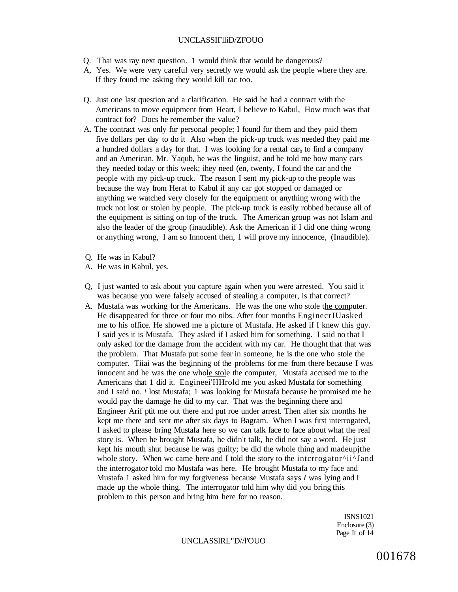### UNCLASSIFlliD/ZFOUO

- Q. Thai was ray next question. 1 would think that would be dangerous?
- A, Yes. We were very careful very secretly we would ask the people where they are. If they found me asking they would kill rac too.
- Q. Just one last question and a clarification. He said he had a contract with the Americans to move equipment from Heart, I believe to Kabul, How much was that contract for? Docs he remember the value?
- A. The contract was only for personal people; I found for them and they paid them five dollars per day to do it Also when the pick-up truck was needed they paid me a hundred dollars a day for that. I was looking for a rental car<sub>b</sub> to find a company and an American. Mr. Yaqub, he was the linguist, and he told me how many cars they needed today or this week; ihey need (en, twenty, I found the car and the people with my pick-up truck. The reason I sent my pick-up to the people was because the way from Herat to Kabul if any car got stopped or damaged or anything we watched very closely for the equipment or anything wrong with the truck not lost or stolen by people. The pick-up truck is easily robbed because all of the equipment is sitting on top of the truck. The American group was not Islam and also the leader of the group (inaudible). Ask the American if I did one thing wrong or anything wrong, I am so Innocent then, 1 will prove my innocence, (Inaudible).
- Q. He was in Kabul?
- A. He was in Kabul, yes.
- Q, I just wanted to ask about you capture again when you were arrested. You said it was because you were falsely accused of stealing a computer, is that correct?
- A. Mustafa was working for the Americans. He was the one who stole the computer. He disappeared for three or four mo nibs. After four months EnginecrJUasked me to his office. He showed me a picture of Mustafa. He asked if I knew this guy. I said yes it is Mustafa. They asked if I asked him for something. I said no that I only asked for the damage from the accident with my car. He thought that that was the problem. That Mustafa put some fear in someone, he is the one who stole the computer. Tiiai was the beginning of the problems for me from there because I was innocent and he was the one whole stole the computer, Mustafa accused me to the Americans that 1 did it. Engineei'HHrold me you asked Mustafa for something and I said no. *\* lost Mustafa; 1 was looking for Mustafa because he promised me he would pay the damage he did to my car. That was the beginning there and Engineer Arif ptit me out there and put roe under arrest. Then after six months he kept me there and sent me after six days to Bagram. When I was first interrogated, I asked to please bring Mustafa here so we can talk face to face about what the real story is. When he brought Mustafa, he didn't talk, he did not say a word. He just kept his mouth shut because he was guilty; be did the whole thing and madeupjthe whole story. When wc came here and I told the story to the intcrrogator^ii^Jand the interrogator told mo Mustafa was here. He brought Mustafa to my face and Mustafa 1 asked him for my forgiveness because Mustafa says *I* was lying and I made up the whole thing. The interrogator told him why did you bring this problem to this person and bring him here for no reason.

ISNS1021 Enclosure (3) Page It of 14

UNCLASSlRL"D//l'OUO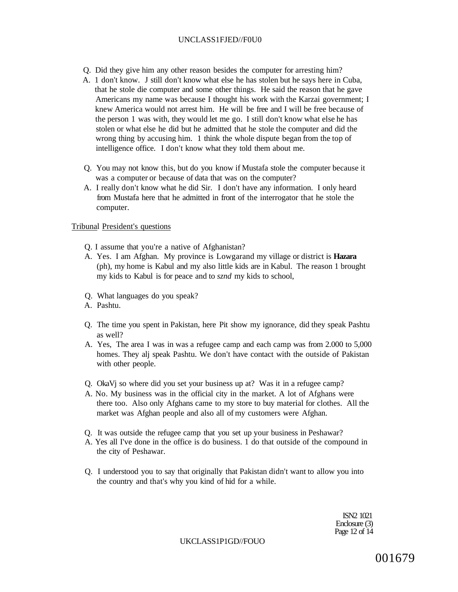### UNCLASS1FJED//F0U0

- Q. Did they give him any other reason besides the computer for arresting him?
- A. 1 don't know. J still don't know what else he has stolen but he says here in Cuba, that he stole die computer and some other things. He said the reason that he gave Americans my name was because I thought his work with the Karzai government; I knew America would not arrest him. He will be free and I will be free because of the person 1 was with, they would let me go. I still don't know what else he has stolen or what else he did but he admitted that he stole the computer and did the wrong thing by accusing him. 1 think the whole dispute began from the top of intelligence office. I don't know what they told them about me.
- Q. You may not know this, but do you know if Mustafa stole the computer because it was a computer or because of data that was on the computer?
- A. I really don't know what he did Sir. I don't have any information. I only heard from Mustafa here that he admitted in front of the interrogator that he stole the computer.

### Tribunal President's questions

- Q. I assume that you're a native of Afghanistan?
- A. Yes. I am Afghan. My province is Lowgarand my village or district is **Hazara**  (ph), my home is Kabul and my also little kids are in Kabul. The reason 1 brought my kids to Kabul is for peace and to *sznd* my kids to school,
- Q. What languages do you speak?
- A. Pashtu.
- Q. The time you spent in Pakistan, here Pit show my ignorance, did they speak Pashtu as well?
- A. Yes, The area I was in was a refugee camp and each camp was from 2.000 to 5,000 homes. They alj speak Pashtu. We don't have contact with the outside of Pakistan with other people.
- Q. OkaVj so where did you set your business up at? Was it in a refugee camp?
- A. No. My business was in the official city in the market. A lot of Afghans were there too. Also only Afghans came to my store to buy material for clothes. All the market was Afghan people and also all of my customers were Afghan.
- Q. It was outside the refugee camp that you set up your business in Peshawar?
- A. Yes all I've done in the office is do business. 1 do that outside of the compound in the city of Peshawar.
- Q. I understood you to say that originally that Pakistan didn't want to allow you into the country and that's why you kind of hid for a while.

ISN2 1021 Enclosure (3) Page 12 of 14

UKCLASS1P1GD//FOUO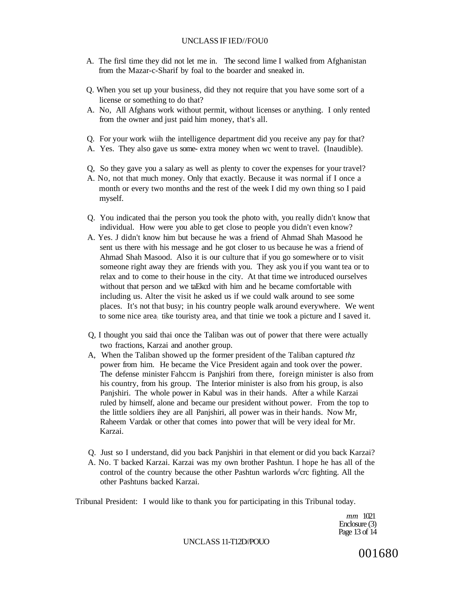- A. The firsl time they did not let me in. The second lime I walked from Afghanistan from the Mazar-c-Sharif by foal to the boarder and sneaked in.
- Q. When you set up your business, did they not require that you have some sort of a license or something to do that?
- A. No, All Afghans work without permit, without licenses or anything. I only rented from the owner and just paid him money, that's all.
- Q. For your work wiih the intelligence department did you receive any pay for that?
- A. Yes. They also gave us some- extra money when wc went to travel. (Inaudible).
- Q, So they gave you a salary as well as plenty to cover the expenses for your travel?
- A. No, not that much money. Only that exactly. Because it was normal if I once a month or every two months and the rest of the week I did my own thing so I paid myself.
- Q. You indicated thai the person you took the photo with, you really didn't know that individual. How were you able to get close to people you didn't even know?
- A. Yes. J didn't know him but because he was a friend of Ahmad Shah Masood he sent us there with his message and he got closer to us because he was a friend of Ahmad Shah Masood. Also it is our culture that if you go somewhere or to visit someone right away they are friends with you. They ask you if you want tea or to relax and to come to their house in the city. At that time we introduced ourselves without that person and we taEkcd with him and he became comfortable with including us. Alter the visit he asked us if we could walk around to see some places. It's not that busy; in his country people walk around everywhere. We went to some nice area: tike touristy area, and that tinie we took a picture and I saved it.
- Q, I thought you said thai once the Taliban was out of power that there were actually two fractions, Karzai and another group.
- A, When the Taliban showed up the former president of the Taliban captured *thz*  power from him. He became the Vice President again and took over the power. The defense minister Fahccm is Panjshiri from there, foreign minister is also from his country, from his group. The Interior minister is also from his group, is also Panjshiri. The whole power in Kabul was in their hands. After a while Karzai ruled by himself, alone and became our president without power. From the top to the little soldiers ihey are all Panjshiri, all power was in their hands. Now Mr, Raheem Vardak or other that comes into power that will be very ideal for Mr. Karzai.
- Q. Just so I understand, did you back Panjshiri in that element or did you back Karzai? A. No. T backed Karzai. Karzai was my own brother Pashtun. I hope he has all of the control of the country because the other Pashtun warlords w'crc fighting. All the other Pashtuns backed Karzai.

Tribunal President: I would like to thank you for participating in this Tribunal today.

*mm* 1021 Enclosure (3) Page 13 of 14

### UNCLASS 11-T12D//POUO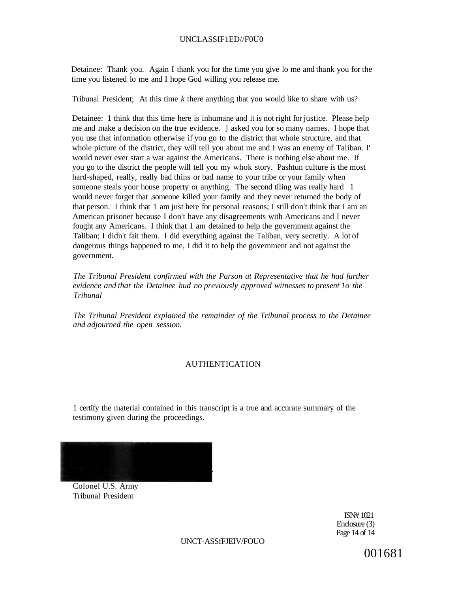## UNCLASSIF1ED//F0U0

Detainee: Thank you. Again I thank you for the time you give lo me and thank you for the time you listened lo me and I hope God willing you release me.

Tribunal President; At this time *k* there anything that you would like to share with us?

Detainee: 1 think that this time here is inhumane and it is not right for justice. Please help me and make a decision on the true evidence. ] asked you for so many names. I hope that you use that information otherwise if you go to the district that whole structure, and that whole picture of the district, they will tell you about me and I was an enemy of Taliban. I' would never ever start a war against the Americans. There is nothing else about me. If you go to the district the people will tell you my whok story. Pashtun culture is the most hard-shaped, really, really bad thins or bad name to your tribe or your family when someone steals your house property or anything. The second tiling was really hard 1 would never forget that .someone killed your family and they never returned the body of that person. I think that 1 am just here for personal reasons; I still don't think that I am an American prisoner because I don't have any disagreements with Americans and I never fought any Americans. I think that 1 am detained to help the government against the Taliban; I didn't fait them. I did everything against the Taliban, very secretly. A lot of dangerous things happened to me, I did it to help the government and not against the government.

*The Tribunal President confirmed with the Parson at Representative that he had further evidence and that the Detainee hud no previously approved witnesses to present 1o the Tribunal* 

*The Tribunal President explained the remainder of the Tribunal process to the Detainee and adjourned the open session.* 

### **AUTHENTICATION**

1 certify the material contained in this transcript is a true and accurate summary of the testimony given during the proceedings.

Colonel U.S. Army Tribunal President

> ISN# 1021 Enclosure (3) Page 14 of 14

UNCT-ASSfFJEIV/FOUO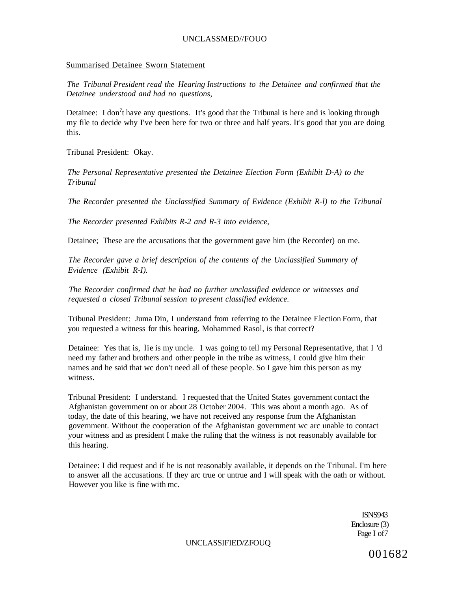## UNCLASSMED//FOUO

## Summarised Detainee Sworn Statement

*The Tribunal President read the Hearing Instructions to the Detainee and confirmed that the Detainee understood and had no questions,* 

Detainee: I don<sup>2</sup>t have any questions. It's good that the Tribunal is here and is looking through my file to decide why I've been here for two or three and half years. It's good that you are doing this.

Tribunal President: Okay.

*The Personal Representative presented the Detainee Election Form (Exhibit D-A) to the Tribunal* 

*The Recorder presented the Unclassified Summary of Evidence (Exhibit R-l) to the Tribunal* 

*The Recorder presented Exhibits R-2 and R-3 into evidence,* 

Detainee; These are the accusations that the government gave him (the Recorder) on me.

*The Recorder gave a brief description of the contents of the Unclassified Summary of Evidence (Exhibit R-I).* 

*The Recorder confirmed that he had no further unclassified evidence or witnesses and requested a closed Tribunal session to present classified evidence.* 

Tribunal President: Juma Din, I understand from referring to the Detainee Election Form, that you requested a witness for this hearing, Mohammed Rasol, is that correct?

Detainee: Yes that is, lie is my uncle. 1 was going to tell my Personal Representative, that I 'd need my father and brothers and other people in the tribe as witness, I could give him their names and he said that wc don't need all of these people. So I gave him this person as my witness.

Tribunal President: I understand. I requested that the United States government contact the Afghanistan government on or about 28 October 2004. This was about a month ago. As of today, the date of this hearing, we have not received any response from the Afghanistan government. Without the cooperation of the Afghanistan government wc arc unable to contact your witness and as president I make the ruling that the witness is not reasonably available for this hearing.

Detainee: I did request and if he is not reasonably available, it depends on the Tribunal. I'm here to answer all the accusations. If they arc true or untrue and I will speak with the oath or without. However you like is fine with mc.

> ISNS943 Enclosure (3) Page I of7

UNCLASSIFIED/ZFOUQ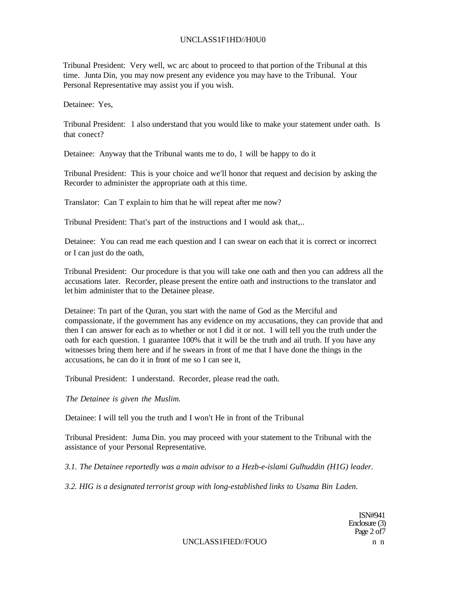### UNCLASS1F1HD//H0U0

Tribunal President: Very well, wc arc about to proceed to that portion of the Tribunal at this time. Junta Din, you may now present any evidence you may have to the Tribunal. Your Personal Representative may assist you if you wish.

Detainee: Yes,

Tribunal President: 1 also understand that you would like to make your statement under oath. Is that conect?

Detainee: Anyway that the Tribunal wants me to do, 1 will be happy to do it

Tribunal President: This is your choice and we'll honor that request and decision by asking the Recorder to administer the appropriate oath at this time.

Translator: Can T explain to him that he will repeat after me now?

Tribunal President: That's part of the instructions and I would ask that,..

Detainee: You can read me each question and I can swear on each that it is correct or incorrect or I can just do the oath,

Tribunal President: Our procedure is that you will take one oath and then you can address all the accusations later. Recorder, please present the entire oath and instructions to the translator and let him administer that to the Detainee please.

Detainee: Tn part of the Quran, you start with the name of God as the Merciful and compassionate, if the government has any evidence on my accusations, they can provide that and then I can answer for each as to whether or not I did it or not. I will tell you the truth under the oath for each question. 1 guarantee 100% that it will be the truth and ail truth. If you have any witnesses bring them here and if he swears in front of me that I have done the things in the accusations, he can do it in front of me so I can see it,

Tribunal President: I understand. Recorder, please read the oath.

*The Detainee is given the Muslim.* 

Detainee: I will tell you the truth and I won't He in front of the Tribunal

Tribunal President: Juma Din. you may proceed with your statement to the Tribunal with the assistance of your Personal Representative.

*3.1. The Detainee reportedly was a main advisor to a Hezb-e-islami Gulhuddin (H1G) leader.* 

*3.2. HIG is a designated terrorist group with long-established links to Usama Bin Laden.* 

ISN#941 Enclosure (3) Page 2 of 7

UNCLASS1FIED//FOUO n n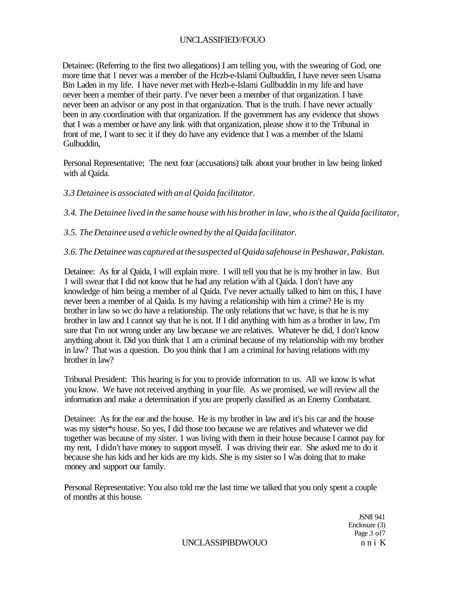Detainee: (Referring to the first two allegations) I am telling you, with the swearing of God, one more time that 1 never was a member of the Hczb-e-Islami Oulbuddin, I have never seen Usama Bin Laden in my life. I have never met with Hezb-e-Islami Gullbuddin in my life and have never been a member of their party. I've never been a member of that organization. I have never been an advisor or any post in that organization. That is the truth. I have never actually been in any coordination with that organization. If the government has any evidence that shows that I was a member or have any link with that organization, please show it to the Tribunal in front of me, I want to sec it if they do have any evidence that I was a member of the lslami Gulbuddin,

Personal Representative; The next four (accusations) talk about your brother in law being linked with al Qaida.

# *3.3 Detainee is associated with an al Qaida facilitator.*

*3.4. The Detainee lived in the same house with his brother in law, who is the al Qaida facilitator,* 

*3.5. The Detainee used a vehicle owned by the al Qaida facilitator.* 

*3.6. The Detainee was captured at the suspected al Qaida safehouse in Peshawar, Pakistan.* 

Detainee: As for al Qaida, I will explain more. I will tell you that he is my brother in law. But 1 will swear that I did not know that he had any relation with al Qaida. I don't have any knowledge of him being a member of al Qaida. I've never actually talked to him on this, I have never been a member of al Qaida. Is my having a relationship with him a crime? He is my brother in law so wc do have a relationship. The only relations that wc have, is that he is my brother in law and I cannot say that he is not. If I did anything with him as a brother in law, I'm sure that I'm not wrong under any law because we are relatives. Whatever he did, I don't know anything about it. Did you think that 1 am a criminal because of my relationship with my brother in law? That was a question. Do you think that I am a criminal for having relations with my brother in law?

Tribunal President: This hearing is for you to provide information to us. All we know is what you know. We have not received anything in your file. As we promised, we will review all the information and make a determination if you are properly classified as an Enemy Combatant.

Detainee: As for the ear and the house. He is my brother in law and it's bis car and the house was my sister\*s house. So yes, I did those too because we are relatives and whatever we did together was because of my sister. 1 was living with them in their house because I cannot pay for my rent, I didn't have money to support myself. I was driving their ear. She asked me to do it because she has kids and her kids are my kids. She is my sister so I w'as doing that to make money and support our family.

Personal Representative: You also told me the last time we talked that you only spent a couple of months at this house.

> JSNfl 941 Enclosure (3) Page *3* of7

UNCLASSIPIBDWOUO n n i K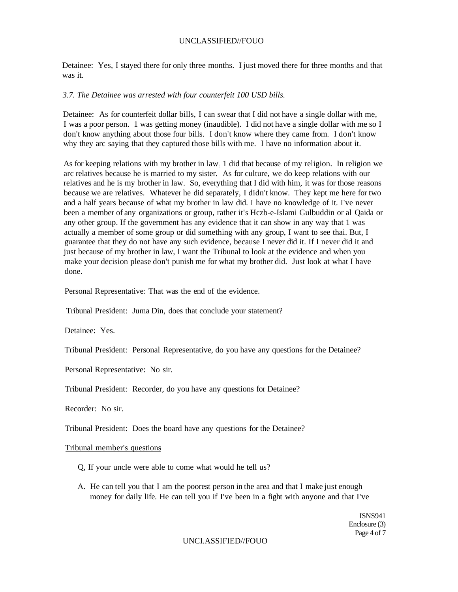Detainee: Yes, I stayed there for only three months. I just moved there for three months and that was it.

## *3.7. The Detainee was arrested with four counterfeit 100 USD bills.*

Detainee: As for counterfeit dollar bills, I can swear that I did not have a single dollar with me, I was a poor person. 1 was getting money (inaudible). I did not have a single dollar with me so I don't know anything about those four bills. I don't know where they came from. I don't know why they arc saying that they captured those bills with me. I have no information about it.

As for keeping relations with my brother in law: 1 did that because of my religion. In religion we arc relatives because he is married to my sister. As for culture, we do keep relations with our relatives and he is my brother in law. So, everything that I did with him, it was for those reasons because we are relatives. Whatever he did separately, I didn't know. They kept me here for two and a half years because of what my brother in law did. I have no knowledge of it. I've never been a member of any organizations or group, rather it's Hczb-e-Islami Gulbuddin or al Qaida or any other group. If the government has any evidence that it can show in any way that 1 was actually a member of some group or did something with any group, I want to see thai. But, I guarantee that they do not have any such evidence, because I never did it. If I never did it and just because of my brother in law, I want the Tribunal to look at the evidence and when you make your decision please don't punish me for what my brother did. Just look at what I have done.

Personal Representative: That was the end of the evidence.

Tribunal President: Juma Din, does that conclude your statement?

Detainee: Yes.

Tribunal President: Personal Representative, do you have any questions for the Detainee?

Personal Representative: No sir.

Tribunal President: Recorder, do you have any questions for Detainee?

Recorder: No sir.

Tribunal President: Does the board have any questions for the Detainee?

#### Tribunal member's questions

- Q, If your uncle were able to come what would he tell us?
- A. He can tell you that I am the poorest person in the area and that I make just enough money for daily life. He can tell you if I've been in a fight with anyone and that I've

ISNS941 Enclosure (3) Page 4 of 7

## UNCI.ASSIFIED//FOUO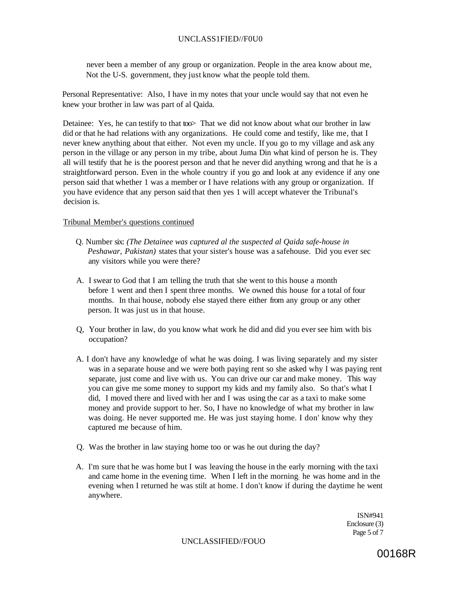# UNCLASS1FIED//F0U0

never been a member of any group or organization. People in the area know about me, Not the U-S. government, they just know what the people told them.

Personal Representative: Also, I have in my notes that your uncle would say that not even he knew your brother in law was part of al Qaida.

Detainee: Yes, he can testify to that too That we did not know about what our brother in law did or that he had relations with any organizations. He could come and testify, like me, that I never knew anything about that either. Not even my uncle. If you go to my village and ask any person in the village or any person in my tribe, about Juma Din what kind of person he is. They all will testify that he is the poorest person and that he never did anything wrong and that he is a straightforward person. Even in the whole country if you go and look at any evidence if any one person said that whether 1 was a member or I have relations with any group or organization. If you have evidence that any person said that then yes 1 will accept whatever the Tribunal's decision is.

## Tribunal Member's questions continued

- Q. Number six: *(The Detainee was captured al the suspected al Qaida safe-house in Peshawar, Pakistan)* states that your sister's house was a safehouse. Did you ever sec any visitors while you were there?
- A. I swear to God that I am telling the truth that she went to this house a month before 1 went and then I spent three months. We owned this house for a total of four months. In thai house, nobody else stayed there either from any group or any other person. It was just us in that house.
- Q, Your brother in law, do you know what work he did and did you ever see him with bis occupation?
- A. I don't have any knowledge of what he was doing. I was living separately and my sister was in a separate house and we were both paying rent so she asked why I was paying rent separate, just come and live with us. You can drive our car and make money. This way you can give me some money to support my kids and my family also. So that's what I did, I moved there and lived with her and I was using the car as a taxi to make some money and provide support to her. So, I have no knowledge of what my brother in law was doing. He never supported me. He was just staying home. I don' know why they captured me because of him.
- Q. Was the brother in law staying home too or was he out during the day?
- A. I'm sure that he was home but I was leaving the house in the early morning with the taxi and came home in the evening time. When I left in the morning: he was home and in the evening when I returned he was stilt at home. I don't know if during the daytime he went anywhere.

ISN#941 Enclosure (3) Page 5 of 7

UNCLASSIFIED//FOUO

00168R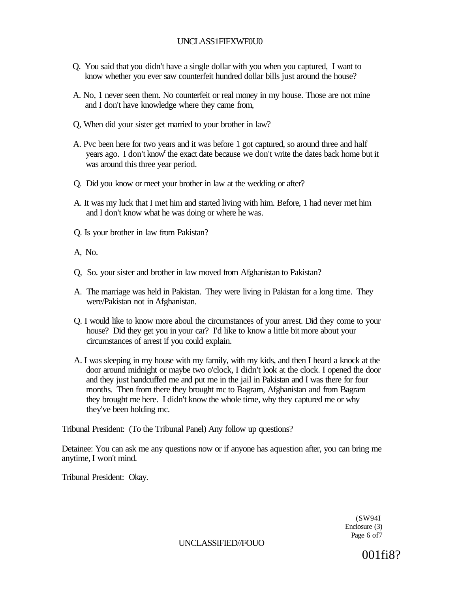# UNCLASS1FIFXWF0U0

- Q. You said that you didn't have a single dollar with you when you captured, I want to know whether you ever saw counterfeit hundred dollar bills just around the house?
- A. No, 1 never seen them. No counterfeit or real money in my house. Those are not mine and I don't have knowledge where they came from,
- Q, When did your sister get married to your brother in law?
- A. Pvc been here for two years and it was before 1 got captured, so around three and half years ago. I don't know<sup>r</sup> the exact date because we don't write the dates back home but it was around this three year period.
- Q. Did you know or meet your brother in law at the wedding or after?
- A. It was my luck that I met him and started living with him. Before, 1 had never met him and I don't know what he was doing or where he was.
- Q. Is your brother in law from Pakistan?
- A, No.
- Q, So. your sister and brother in law moved from Afghanistan to Pakistan?
- A. The marriage was held in Pakistan. They were living in Pakistan for a long time. They were/Pakistan not in Afghanistan.
- Q. I would like to know more aboul the circumstances of your arrest. Did they come to your house? Did they get you in your car? I'd like to know a little bit more about your circumstances of arrest if you could explain.
- A. I was sleeping in my house with my family, with my kids, and then I heard a knock at the door around midnight or maybe two o'clock, I didn't look at the clock. I opened the door and they just handcuffed me and put me in the jail in Pakistan and I was there for four months. Then from there they brought mc to Bagram, Afghanistan and from Bagram they brought me here. I didn't know the whole time, why they captured me or why they've been holding mc.

Tribunal President: (To the Tribunal Panel) Any follow up questions?

Detainee: You can ask me any questions now or if anyone has aquestion after, you can bring me anytime, I won't mind.

Tribunal President: Okay.

(SW94I Enclosure (3) Page 6 of7

UNCLASSIFIED//FOUO

001fi8?